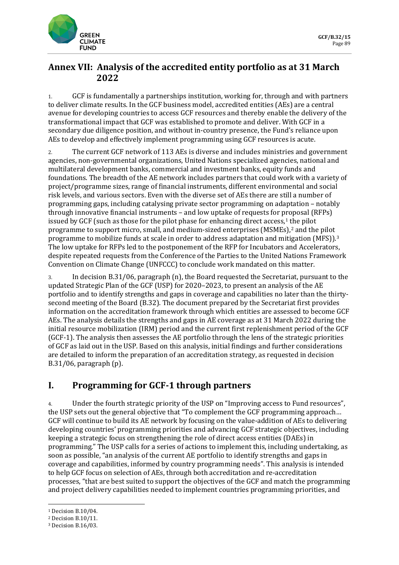

## **Annex VII: Analysis of the accredited entity portfolio as at 31 March 2022**

1. GCF is fundamentally a partnerships institution, working for, through and with partners to deliver climate results. In the GCF business model, accredited entities (AEs) are a central avenue for developing countries to access GCF resources and thereby enable the delivery of the transformational impact that GCF was established to promote and deliver. With GCF in a secondary due diligence position, and without in-country presence, the Fund's reliance upon AEs to develop and effectively implement programming using GCF resources is acute.

2. The current GCF network of 113 AEs is diverse and includes ministries and government agencies, non-governmental organizations, United Nations specialized agencies, national and multilateral development banks, commercial and investment banks, equity funds and foundations. The breadth of the AE network includes partners that could work with a variety of project/programme sizes, range of financial instruments, different environmental and social risk levels, and various sectors. Even with the diverse set of AEs there are still a number of programming gaps, including catalysing private sector programming on adaptation – notably through innovative financial instruments – and low uptake of requests for proposal (RFPs) issued by GCF (such as those for the pilot phase for enhancing direct access, $1$  the pilot programme to support micro, small, and medium-sized enterprises (MSMEs),[2](#page-0-1) and the pilot programme to mobilize funds at scale in order to address adaptation and mitigation (MFS)).<sup>[3](#page-0-2)</sup> The low uptake for RFPs led to the postponement of the RFP for Incubators and Accelerators, despite repeated requests from the Conference of the Parties to the United Nations Framework Convention on Climate Change (UNFCCC) to conclude work mandated on this matter.

3. In decision B.31/06, paragraph (n), the Board requested the Secretariat, pursuant to the updated Strategic Plan of the GCF (USP) for 2020–2023, to present an analysis of the AE portfolio and to identify strengths and gaps in coverage and capabilities no later than the thirtysecond meeting of the Board (B.32). The document prepared by the Secretariat first provides information on the accreditation framework through which entities are assessed to become GCF AEs. The analysis details the strengths and gaps in AE coverage as at 31 March 2022 during the initial resource mobilization (IRM) period and the current first replenishment period of the GCF (GCF-1). The analysis then assesses the AE portfolio through the lens of the strategic priorities of GCF as laid out in the USP. Based on this analysis, initial findings and further considerations are detailed to inform the preparation of an accreditation strategy, as requested in decision B.31/06, paragraph (p).

## **I. Programming for GCF-1 through partners**

4. Under the fourth strategic priority of the USP on "Improving access to Fund resources", the USP sets out the general objective that "To complement the GCF programming approach… GCF will continue to build its AE network by focusing on the value-addition of AEs to delivering developing countries' programming priorities and advancing GCF strategic objectives, including keeping a strategic focus on strengthening the role of direct access entities (DAEs) in programming." The USP calls for a series of actions to implement this, including undertaking, as soon as possible, "an analysis of the current AE portfolio to identify strengths and gaps in coverage and capabilities, informed by country programming needs". This analysis is intended to help GCF focus on selection of AEs, through both accreditation and re-accreditation processes, "that are best suited to support the objectives of the GCF and match the programming and project delivery capabilities needed to implement countries programming priorities, and

<span id="page-0-0"></span><sup>1</sup> Decision B.10/04.

<span id="page-0-1"></span><sup>2</sup> Decision B.10/11.

<span id="page-0-2"></span><sup>3</sup> Decision B.16/03.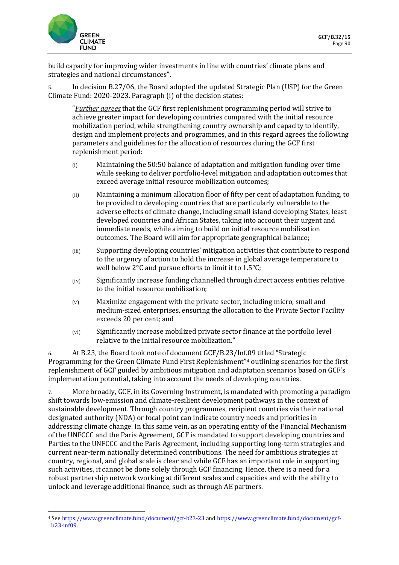

build capacity for improving wider investments in line with countries' climate plans and strategies and national circumstances".

5. In decision B.27/06, the Board adopted the updated Strategic Plan (USP) for the Green Climate Fund: 2020-2023. Paragraph (i) of the decision states:

"*Further agrees* that the GCF first replenishment programming period will strive to achieve greater impact for developing countries compared with the initial resource mobilization period, while strengthening country ownership and capacity to identify, design and implement projects and programmes, and in this regard agrees the following parameters and guidelines for the allocation of resources during the GCF first replenishment period:

- (i) Maintaining the 50:50 balance of adaptation and mitigation funding over time while seeking to deliver portfolio-level mitigation and adaptation outcomes that exceed average initial resource mobilization outcomes;
- (ii) Maintaining a minimum allocation floor of fifty per cent of adaptation funding, to be provided to developing countries that are particularly vulnerable to the adverse effects of climate change, including small island developing States, least developed countries and African States, taking into account their urgent and immediate needs, while aiming to build on initial resource mobilization outcomes. The Board will aim for appropriate geographical balance;
- (iii) Supporting developing countries' mitigation activities that contribute to respond to the urgency of action to hold the increase in global average temperature to well below 2°C and pursue efforts to limit it to 1.5°C;
- (iv) Significantly increase funding channelled through direct access entities relative to the initial resource mobilization;
- (v) Maximize engagement with the private sector, including micro, small and medium-sized enterprises, ensuring the allocation to the Private Sector Facility exceeds 20 per cent; and
- (vi) Significantly increase mobilized private sector finance at the portfolio level relative to the initial resource mobilization."

6. At B.23, the Board took note of document GCF/B.23/Inf.09 titled "Strategic Programming for the Green Climate Fund First Replenishment"[4](#page-1-0) outlining scenarios for the first replenishment of GCF guided by ambitious mitigation and adaptation scenarios based on GCF's implementation potential, taking into account the needs of developing countries.

7. More broadly, GCF, in its Governing Instrument, is mandated with promoting a paradigm shift towards low-emission and climate-resilient development pathways in the context of sustainable development. Through country programmes, recipient countries via their national designated authority (NDA) or focal point can indicate country needs and priorities in addressing climate change. In this same vein, as an operating entity of the Financial Mechanism of the UNFCCC and the Paris Agreement, GCF is mandated to support developing countries and Parties to the UNFCCC and the Paris Agreement, including supporting long-term strategies and current near-term nationally determined contributions. The need for ambitious strategies at country, regional, and global scale is clear and while GCF has an important role in supporting such activities, it cannot be done solely through GCF financing. Hence, there is a need for a robust partnership network working at different scales and capacities and with the ability to unlock and leverage additional finance, such as through AE partners.

<span id="page-1-0"></span><sup>4</sup> Se[e https://www.greenclimate.fund/document/gcf-b23-23](https://www.greenclimate.fund/document/gcf-b23-23) an[d https://www.greenclimate.fund/document/gcf](https://www.greenclimate.fund/document/gcf-b23-inf09)[b23-inf09.](https://www.greenclimate.fund/document/gcf-b23-inf09)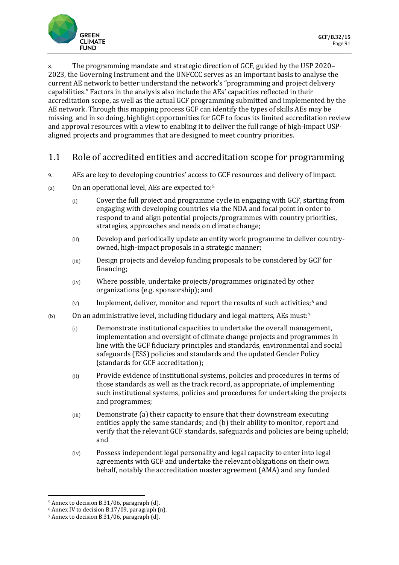

8. The programming mandate and strategic direction of GCF, guided by the USP 2020– 2023, the Governing Instrument and the UNFCCC serves as an important basis to analyse the current AE network to better understand the network's "programming and project delivery capabilities." Factors in the analysis also include the AEs' capacities reflected in their accreditation scope, as well as the actual GCF programming submitted and implemented by the AE network. Through this mapping process GCF can identify the types of skills AEs may be missing, and in so doing, highlight opportunities for GCF to focus its limited accreditation review and approval resources with a view to enabling it to deliver the full range of high-impact USPaligned projects and programmes that are designed to meet country priorities.

## 1.1 Role of accredited entities and accreditation scope for programming

- 9. AEs are key to developing countries' access to GCF resources and delivery of impact.
- (a) On an operational level, AEs are expected to:[5](#page-2-0)
	- (i) Cover the full project and programme cycle in engaging with GCF, starting from engaging with developing countries via the NDA and focal point in order to respond to and align potential projects/programmes with country priorities, strategies, approaches and needs on climate change;
	- (ii) Develop and periodically update an entity work programme to deliver countryowned, high-impact proposals in a strategic manner;
	- (iii) Design projects and develop funding proposals to be considered by GCF for financing;
	- (iv) Where possible, undertake projects/programmes originated by other organizations (e.g. sponsorship); and
	- (v) Implement, deliver, monitor and report the results of such activities;[6](#page-2-1) and
- (b) On an administrative level, including fiduciary and legal matters, AEs must:[7](#page-2-2)
	- (i) Demonstrate institutional capacities to undertake the overall management, implementation and oversight of climate change projects and programmes in line with the GCF fiduciary principles and standards, environmental and social safeguards (ESS) policies and standards and the updated Gender Policy (standards for GCF accreditation);
	- (ii) Provide evidence of institutional systems, policies and procedures in terms of those standards as well as the track record, as appropriate, of implementing such institutional systems, policies and procedures for undertaking the projects and programmes;
	- (iii) Demonstrate (a) their capacity to ensure that their downstream executing entities apply the same standards; and (b) their ability to monitor, report and verify that the relevant GCF standards, safeguards and policies are being upheld; and
	- (iv) Possess independent legal personality and legal capacity to enter into legal agreements with GCF and undertake the relevant obligations on their own behalf, notably the accreditation master agreement (AMA) and any funded

<span id="page-2-0"></span><sup>5</sup> Annex to decision B.31/06, paragraph (d).

<span id="page-2-1"></span><sup>6</sup> Annex IV to decision B.17/09, paragraph (n).

<span id="page-2-2"></span><sup>7</sup> Annex to decision B.31/06, paragraph (d).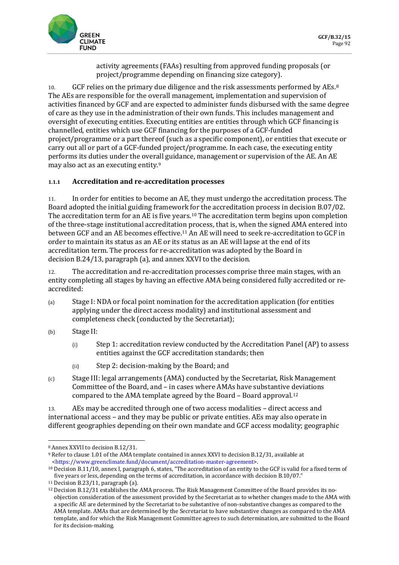

activity agreements (FAAs) resulting from approved funding proposals (or project/programme depending on financing size category).

10. GCF relies on the primary due diligence and the risk assessments performed by AEs.<sup>[8](#page-3-0)</sup> The AEs are responsible for the overall management, implementation and supervision of activities financed by GCF and are expected to administer funds disbursed with the same degree of care as they use in the administration of their own funds. This includes management and oversight of executing entities. Executing entities are entities through which GCF financing is channelled, entities which use GCF financing for the purposes of a GCF-funded project/programme or a part thereof (such as a specific component), or entities that execute or carry out all or part of a GCF-funded project/programme. In each case, the executing entity performs its duties under the overall guidance, management or supervision of the AE. An AE may also act as an executing entity.[9](#page-3-1)

## **1.1.1 Accreditation and re-accreditation processes**

11. In order for entities to become an AE, they must undergo the accreditation process. The Board adopted the initial guiding framework for the accreditation process in decision B.07/02. The accreditation term for an AE is five years.[10](#page-3-2) The accreditation term begins upon completion of the three-stage institutional accreditation process, that is, when the signed AMA entered into between GCF and an AE becomes effective.[11](#page-3-3) An AE will need to seek re-accreditation to GCF in order to maintain its status as an AE or its status as an AE will lapse at the end of its accreditation term. The process for re-accreditation was adopted by the Board in decision B.24/13, paragraph (a), and annex XXVI to the decision.

12. The accreditation and re-accreditation processes comprise three main stages, with an entity completing all stages by having an effective AMA being considered fully accredited or reaccredited:

- (a) Stage I: NDA or focal point nomination for the accreditation application (for entities applying under the direct access modality) and institutional assessment and completeness check (conducted by the Secretariat);
- (b) Stage II:
	- (i) Step 1: accreditation review conducted by the Accreditation Panel (AP) to assess entities against the GCF accreditation standards; then
	- (ii) Step 2: decision-making by the Board; and
- (c) Stage III: legal arrangements (AMA) conducted by the Secretariat, Risk Management Committee of the Board, and – in cases where AMAs have substantive deviations compared to the AMA template agreed by the Board – Board approval[.12](#page-3-4)

13. AEs may be accredited through one of two access modalities – direct access and international access – and they may be public or private entities. AEs may also operate in different geographies depending on their own mandate and GCF access modality; geographic

<span id="page-3-0"></span><sup>8</sup> Annex XXVII to decision B.12/31.

<span id="page-3-1"></span><sup>9</sup> Refer to clause 1.01 of the AMA template contained in annex XXVI to decision B.12/31, available at [<https://www.greenclimate.fund/document/accreditation-master-agreement>](https://www.greenclimate.fund/document/accreditation-master-agreement).

<span id="page-3-2"></span><sup>10</sup> Decision B.11/10, annex I, paragraph 6, states, "The accreditation of an entity to the GCF is valid for a fixed term of five years or less, depending on the terms of accreditation, in accordance with decision B.10/07."

<span id="page-3-4"></span><span id="page-3-3"></span><sup>11</sup> Decision B.23/11, paragraph (a).

<sup>12</sup> Decision B.12/31 establishes the AMA process. The Risk Management Committee of the Board provides its noobjection consideration of the assessment provided by the Secretariat as to whether changes made to the AMA with a specific AE are determined by the Secretariat to be substantive of non-substantive changes as compared to the AMA template. AMAs that are determined by the Secretariat to have substantive changes as compared to the AMA template, and for which the Risk Management Committee agrees to such determination, are submitted to the Board for its decision-making.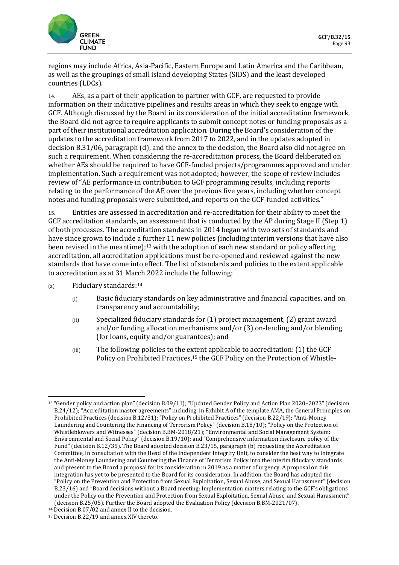

regions may include Africa, Asia-Pacific, Eastern Europe and Latin America and the Caribbean, as well as the groupings of small island developing States (SIDS) and the least developed countries (LDCs).

14. AEs, as a part of their application to partner with GCF, are requested to provide information on their indicative pipelines and results areas in which they seek to engage with GCF. Although discussed by the Board in its consideration of the initial accreditation framework, the Board did not agree to require applicants to submit concept notes or funding proposals as a part of their institutional accreditation application. During the Board's consideration of the updates to the accreditation framework from 2017 to 2022, and in the updates adopted in decision B.31/06, paragraph (d), and the annex to the decision, the Board also did not agree on such a requirement. When considering the re-accreditation process, the Board deliberated on whether AEs should be required to have GCF-funded projects/programmes approved and under implementation. Such a requirement was not adopted; however, the scope of review includes review of "AE performance in contribution to GCF programming results, including reports relating to the performance of the AE over the previous five years, including whether concept notes and funding proposals were submitted, and reports on the GCF-funded activities."

15. Entities are assessed in accreditation and re-accreditation for their ability to meet the GCF accreditation standards, an assessment that is conducted by the AP during Stage II (Step 1) of both processes. The accreditation standards in 2014 began with two sets of standards and have since grown to include a further 11 new policies (including interim versions that have also been revised in the meantime);[13](#page-4-0) with the adoption of each new standard or policy affecting accreditation, all accreditation applications must be re-opened and reviewed against the new standards that have come into effect. The list of standards and policies to the extent applicable to accreditation as at 31 March 2022 include the following:

- (a) Fiduciary standards:[14](#page-4-1)
	- (i) Basic fiduciary standards on key administrative and financial capacities, and on transparency and accountability;
	- (ii) Specialized fiduciary standards for (1) project management, (2) grant award and/or funding allocation mechanisms and/or (3) on-lending and/or blending (for loans, equity and/or guarantees); and
	- (iii) The following policies to the extent applicable to accreditation: (1) the GCF Policy on Prohibited Practices,<sup>[15](#page-4-2)</sup> the GCF Policy on the Protection of Whistle-

<span id="page-4-0"></span><sup>13</sup> "Gender policy and action plan" (decision B.09/11); "Updated Gender Policy and Action Plan 2020–2023" (decision B.24/12); "Accreditation master agreements" including, in Exhibit A of the template AMA, the General Principles on Prohibited Practices (decision B.12/31); "Policy on Prohibited Practices" (decision B.22/19); "Anti-Money Laundering and Countering the Financing of Terrorism Policy" (decision B.18/10); "Policy on the Protection of Whistleblowers and Witnesses" (decision B.BM-2018/21); "Environmental and Social Management System: Environmental and Social Policy" (decision B.19/10); and "Comprehensive information disclosure policy of the Fund" (decision B.12/35). The Board adopted decision B.23/15, paragraph (b) requesting the Accreditation Committee, in consultation with the Head of the Independent Integrity Unit, to consider the best way to integrate the Anti-Money Laundering and Countering the Finance of Terrorism Policy into the interim fiduciary standards and present to the Board a proposal for its consideration in 2019 as a matter of urgency. A proposal on this integration has yet to be presented to the Board for its consideration. In addition, the Board has adopted the "Policy on the Prevention and Protection from Sexual Exploitation, Sexual Abuse, and Sexual Harassment" (decision B.23/16) and "Board decisions without a Board meeting: Implementation matters relating to the GCF's obligations under the Policy on the Prevention and Protection from Sexual Exploitation, Sexual Abuse, and Sexual Harassment" (decision B.25/05). Further the Board adopted the Evaluation Policy (decision B.BM-2021/07).

<span id="page-4-1"></span><sup>14</sup> Decision B.07/02 and annex II to the decision.

<span id="page-4-2"></span><sup>15</sup> Decision B.22/19 and annex XIV thereto.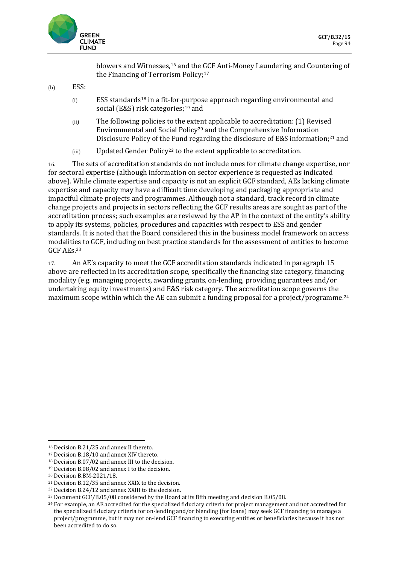

blowers and Witnesses,[16](#page-5-0) and the GCF Anti-Money Laundering and Countering of the Financing of Terrorism Policy;<sup>[17](#page-5-1)</sup>

- $(b)$  ESS:
	- $(i)$  ESS standards<sup>[18](#page-5-2)</sup> in a fit-for-purpose approach regarding environmental and social (E&S) risk categories;<sup>[19](#page-5-3)</sup> and
	- (ii) The following policies to the extent applicable to accreditation: (1) Revised Environmental and Social Policy[20](#page-5-4) and the Comprehensive Information Disclosure Policy of the Fund regarding the disclosure of E&S information;<sup>[21](#page-5-5)</sup> and
	- (iii) Updated Gender Policy[22](#page-5-6) to the extent applicable to accreditation.

16. The sets of accreditation standards do not include ones for climate change expertise, nor for sectoral expertise (although information on sector experience is requested as indicated above). While climate expertise and capacity is not an explicit GCF standard, AEs lacking climate expertise and capacity may have a difficult time developing and packaging appropriate and impactful climate projects and programmes. Although not a standard, track record in climate change projects and projects in sectors reflecting the GCF results areas are sought as part of the accreditation process; such examples are reviewed by the AP in the context of the entity's ability to apply its systems, policies, procedures and capacities with respect to ESS and gender standards. It is noted that the Board considered this in the business model framework on access modalities to GCF, including on best practice standards for the assessment of entities to become GCF AEs.[23](#page-5-7)

17. An AE's capacity to meet the GCF accreditation standards indicated in paragraph 15 above are reflected in its accreditation scope, specifically the financing size category, financing modality (e.g. managing projects, awarding grants, on-lending, providing guarantees and/or undertaking equity investments) and E&S risk category. The accreditation scope governs the maximum scope within which the AE can submit a funding proposal for a project/programme.<sup>[24](#page-5-8)</sup>

<span id="page-5-0"></span><sup>16</sup> Decision B.21/25 and annex II thereto.

<span id="page-5-1"></span><sup>17</sup> Decision B.18/10 and annex XIV thereto.

<span id="page-5-2"></span><sup>18</sup> Decision B.07/02 and annex III to the decision.

<span id="page-5-3"></span><sup>19</sup> Decision B.08/02 and annex I to the decision.

<span id="page-5-4"></span><sup>20</sup> Decision B.BM-2021/18.

<span id="page-5-5"></span><sup>21</sup> Decision B.12/35 and annex XXIX to the decision.

<span id="page-5-6"></span><sup>22</sup> Decision B.24/12 and annex XXIII to the decision.

<span id="page-5-7"></span><sup>23</sup> Document GCF/B.05/08 considered by the Board at its fifth meeting and decision B.05/08.

<span id="page-5-8"></span> $24$  For example, an AE accredited for the specialized fiduciary criteria for project management and not accredited for the specialized fiduciary criteria for on-lending and/or blending (for loans) may seek GCF financing to manage a project/programme, but it may not on-lend GCF financing to executing entities or beneficiaries because it has not been accredited to do so.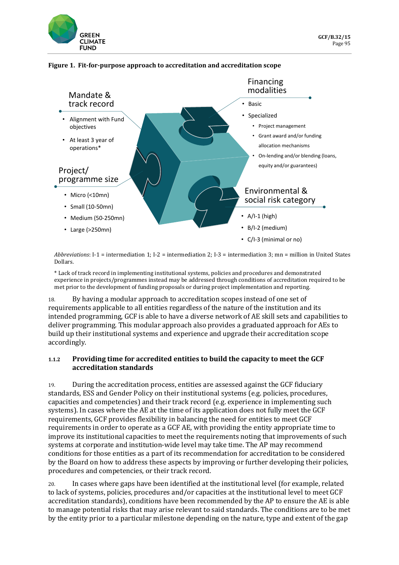



### **Figure 1. Fit-for-purpose approach to accreditation and accreditation scope**

*Abbreviations*: I-1 = intermediation 1; I-2 = intermediation 2; I-3 = intermediation 3; mn = million in United States Dollars.

\* Lack of track record in implementing institutional systems, policies and procedures and demonstrated experience in projects/programmes instead may be addressed through conditions of accreditation required to be met prior to the development of funding proposals or during project implementation and reporting.

18. By having a modular approach to accreditation scopes instead of one set of requirements applicable to all entities regardless of the nature of the institution and its intended programming, GCF is able to have a diverse network of AE skill sets and capabilities to deliver programming. This modular approach also provides a graduated approach for AEs to build up their institutional systems and experience and upgrade their accreditation scope accordingly.

## **1.1.2 Providing time for accredited entities to build the capacity to meet the GCF accreditation standards**

19. During the accreditation process, entities are assessed against the GCF fiduciary standards, ESS and Gender Policy on their institutional systems (e.g. policies, procedures, capacities and competencies) and their track record (e.g. experience in implementing such systems). In cases where the AE at the time of its application does not fully meet the GCF requirements, GCF provides flexibility in balancing the need for entities to meet GCF requirements in order to operate as a GCF AE, with providing the entity appropriate time to improve its institutional capacities to meet the requirements noting that improvements of such systems at corporate and institution-wide level may take time. The AP may recommend conditions for those entities as a part of its recommendation for accreditation to be considered by the Board on how to address these aspects by improving or further developing their policies, procedures and competencies, or their track record.

20. In cases where gaps have been identified at the institutional level (for example, related to lack of systems, policies, procedures and/or capacities at the institutional level to meet GCF accreditation standards), conditions have been recommended by the AP to ensure the AE is able to manage potential risks that may arise relevant to said standards. The conditions are to be met by the entity prior to a particular milestone depending on the nature, type and extent of the gap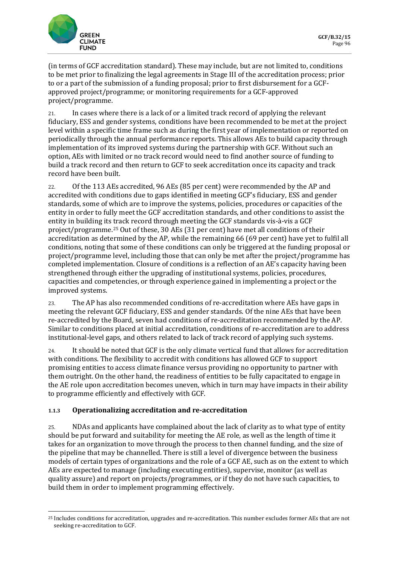

(in terms of GCF accreditation standard). These may include, but are not limited to, conditions to be met prior to finalizing the legal agreements in Stage III of the accreditation process; prior to or a part of the submission of a funding proposal; prior to first disbursement for a GCFapproved project/programme; or monitoring requirements for a GCF-approved project/programme.

21. In cases where there is a lack of or a limited track record of applying the relevant fiduciary, ESS and gender systems, conditions have been recommended to be met at the project level within a specific time frame such as during the first year of implementation or reported on periodically through the annual performance reports. This allows AEs to build capacity through implementation of its improved systems during the partnership with GCF. Without such an option, AEs with limited or no track record would need to find another source of funding to build a track record and then return to GCF to seek accreditation once its capacity and track record have been built.

22. Of the 113 AEs accredited, 96 AEs (85 per cent) were recommended by the AP and accredited with conditions due to gaps identified in meeting GCF's fiduciary, ESS and gender standards, some of which are to improve the systems, policies, procedures or capacities of the entity in order to fully meet the GCF accreditation standards, and other conditions to assist the entity in building its track record through meeting the GCF standards vis-à-vis a GCF project/programme.[25](#page-7-0) Out of these, 30 AEs (31 per cent) have met all conditions of their accreditation as determined by the AP, while the remaining 66 (69 per cent) have yet to fulfil all conditions, noting that some of these conditions can only be triggered at the funding proposal or project/programme level, including those that can only be met after the project/programme has completed implementation. Closure of conditions is a reflection of an AE's capacity having been strengthened through either the upgrading of institutional systems, policies, procedures, capacities and competencies, or through experience gained in implementing a project or the improved systems.

23. The AP has also recommended conditions of re-accreditation where AEs have gaps in meeting the relevant GCF fiduciary, ESS and gender standards. Of the nine AEs that have been re-accredited by the Board, seven had conditions of re-accreditation recommended by the AP. Similar to conditions placed at initial accreditation, conditions of re-accreditation are to address institutional-level gaps, and others related to lack of track record of applying such systems.

24. It should be noted that GCF is the only climate vertical fund that allows for accreditation with conditions. The flexibility to accredit with conditions has allowed GCF to support promising entities to access climate finance versus providing no opportunity to partner with them outright. On the other hand, the readiness of entities to be fully capacitated to engage in the AE role upon accreditation becomes uneven, which in turn may have impacts in their ability to programme efficiently and effectively with GCF.

## **1.1.3 Operationalizing accreditation and re-accreditation**

25. NDAs and applicants have complained about the lack of clarity as to what type of entity should be put forward and suitability for meeting the AE role, as well as the length of time it takes for an organization to move through the process to then channel funding, and the size of the pipeline that may be channelled. There is still a level of divergence between the business models of certain types of organizations and the role of a GCF AE, such as on the extent to which AEs are expected to manage (including executing entities), supervise, monitor (as well as quality assure) and report on projects/programmes, or if they do not have such capacities, to build them in order to implement programming effectively.

<span id="page-7-0"></span><sup>25</sup> Includes conditions for accreditation, upgrades and re-accreditation. This number excludes former AEs that are not seeking re-accreditation to GCF.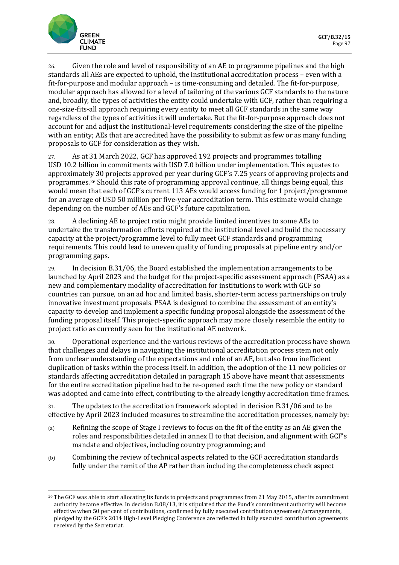

26. Given the role and level of responsibility of an AE to programme pipelines and the high standards all AEs are expected to uphold, the institutional accreditation process – even with a fit-for-purpose and modular approach – is time-consuming and detailed. The fit-for-purpose, modular approach has allowed for a level of tailoring of the various GCF standards to the nature and, broadly, the types of activities the entity could undertake with GCF, rather than requiring a one-size-fits-all approach requiring every entity to meet all GCF standards in the same way regardless of the types of activities it will undertake. But the fit-for-purpose approach does not account for and adjust the institutional-level requirements considering the size of the pipeline with an entity; AEs that are accredited have the possibility to submit as few or as many funding proposals to GCF for consideration as they wish.

27. As at 31 March 2022, GCF has approved 192 projects and programmes totalling USD 10.2 billion in commitments with USD 7.0 billion under implementation. This equates to approximately 30 projects approved per year during GCF's 7.25 years of approving projects and programmes.[26](#page-8-0) Should this rate of programming approval continue, all things being equal, this would mean that each of GCF's current 113 AEs would access funding for 1 project/programme for an average of USD 50 million per five-year accreditation term. This estimate would change depending on the number of AEs and GCF's future capitalization.

28. A declining AE to project ratio might provide limited incentives to some AEs to undertake the transformation efforts required at the institutional level and build the necessary capacity at the project/programme level to fully meet GCF standards and programming requirements. This could lead to uneven quality of funding proposals at pipeline entry and/or programming gaps.

29. In decision B.31/06, the Board established the implementation arrangements to be launched by April 2023 and the budget for the project-specific assessment approach (PSAA) as a new and complementary modality of accreditation for institutions to work with GCF so countries can pursue, on an ad hoc and limited basis, shorter-term access partnerships on truly innovative investment proposals. PSAA is designed to combine the assessment of an entity's capacity to develop and implement a specific funding proposal alongside the assessment of the funding proposal itself. This project-specific approach may more closely resemble the entity to project ratio as currently seen for the institutional AE network.

30. Operational experience and the various reviews of the accreditation process have shown that challenges and delays in navigating the institutional accreditation process stem not only from unclear understanding of the expectations and role of an AE, but also from inefficient duplication of tasks within the process itself. In addition, the adoption of the 11 new policies or standards affecting accreditation detailed in paragraph 15 above have meant that assessments for the entire accreditation pipeline had to be re-opened each time the new policy or standard was adopted and came into effect, contributing to the already lengthy accreditation time frames.

31. The updates to the accreditation framework adopted in decision B.31/06 and to be effective by April 2023 included measures to streamline the accreditation processes, namely by:

- (a) Refining the scope of Stage I reviews to focus on the fit of the entity as an AE given the roles and responsibilities detailed in annex II to that decision, and alignment with GCF's mandate and objectives, including country programming; and
- (b) Combining the review of technical aspects related to the GCF accreditation standards fully under the remit of the AP rather than including the completeness check aspect

<span id="page-8-0"></span><sup>26</sup> The GCF was able to start allocating its funds to projects and programmes from 21 May 2015, after its commitment authority became effective. In decision B.08/13, it is stipulated that the Fund's commitment authority will become effective when 50 per cent of contributions, confirmed by fully executed contribution agreement/arrangements, pledged by the GCF's 2014 High-Level Pledging Conference are reflected in fully executed contribution agreements received by the Secretariat.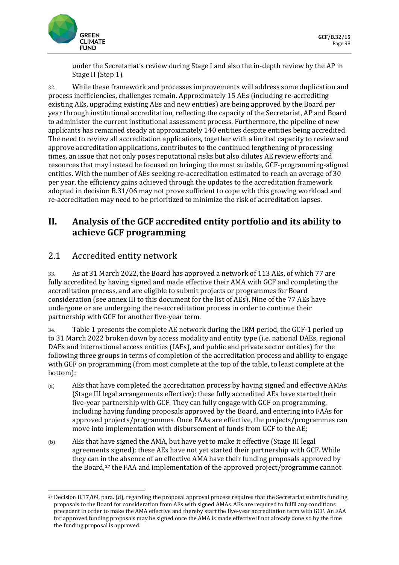

under the Secretariat's review during Stage I and also the in-depth review by the AP in Stage II (Step 1).

32. While these framework and processes improvements will address some duplication and process inefficiencies, challenges remain. Approximately 15 AEs (including re-accrediting existing AEs, upgrading existing AEs and new entities) are being approved by the Board per year through institutional accreditation, reflecting the capacity of the Secretariat, AP and Board to administer the current institutional assessment process. Furthermore, the pipeline of new applicants has remained steady at approximately 140 entities despite entities being accredited. The need to review all accreditation applications, together with a limited capacity to review and approve accreditation applications, contributes to the continued lengthening of processing times, an issue that not only poses reputational risks but also dilutes AE review efforts and resources that may instead be focused on bringing the most suitable, GCF-programming-aligned entities. With the number of AEs seeking re-accreditation estimated to reach an average of 30 per year, the efficiency gains achieved through the updates to the accreditation framework adopted in decision B.31/06 may not prove sufficient to cope with this growing workload and re-accreditation may need to be prioritized to minimize the risk of accreditation lapses.

## **II. Analysis of the GCF accredited entity portfolio and its ability to achieve GCF programming**

## 2.1 Accredited entity network

33. As at 31 March 2022,the Board has approved a network of 113 AEs, of which 77 are fully accredited by having signed and made effective their AMA with GCF and completing the accreditation process, and are eligible to submit projects or programmes for Board consideration (see annex III to this document for the list of AEs). Nine of the 77 AEs have undergone or are undergoing the re-accreditation process in order to continue their partnership with GCF for another five-year term.

34. Table 1 presents the complete AE network during the IRM period, the GCF-1 period up to 31 March 2022 broken down by access modality and entity type (i.e. national DAEs, regional DAEs and international access entities (IAEs), and public and private sector entities) for the following three groups in terms of completion of the accreditation process and ability to engage with GCF on programming (from most complete at the top of the table, to least complete at the bottom):

- (a) AEs that have completed the accreditation process by having signed and effective AMAs (Stage III legal arrangements effective): these fully accredited AEs have started their five-year partnership with GCF. They can fully engage with GCF on programming, including having funding proposals approved by the Board, and entering into FAAs for approved projects/programmes. Once FAAs are effective, the projects/programmes can move into implementation with disbursement of funds from GCF to the AE;
- (b) AEs that have signed the AMA, but have yet to make it effective (Stage III legal agreements signed): these AEs have not yet started their partnership with GCF. While they can in the absence of an effective AMA have their funding proposals approved by the Board,**[27](#page-9-0)** the FAA and implementation of the approved project/programme cannot

<span id="page-9-0"></span><sup>27</sup> Decision B.17/09, para. (d), regarding the proposal approval process requires that the Secretariat submits funding proposals to the Board for consideration from AEs with signed AMAs. AEs are required to fulfil any conditions precedent in order to make the AMA effective and thereby start the five-year accreditation term with GCF. An FAA for approved funding proposals may be signed once the AMA is made effective if not already done so by the time the funding proposal is approved.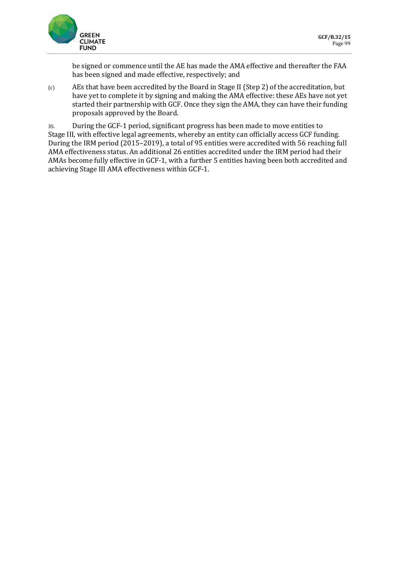

be signed or commence until the AE has made the AMA effective and thereafter the FAA has been signed and made effective, respectively; and

(c) AEs that have been accredited by the Board in Stage II (Step 2) of the accreditation, but have yet to complete it by signing and making the AMA effective: these AEs have not yet started their partnership with GCF. Once they sign the AMA, they can have their funding proposals approved by the Board.

35. During the GCF-1 period, significant progress has been made to move entities to Stage III, with effective legal agreements, whereby an entity can officially access GCF funding. During the IRM period (2015–2019), a total of 95 entities were accredited with 56 reaching full AMA effectiveness status. An additional 26 entities accredited under the IRM period had their AMAs become fully effective in GCF-1, with a further 5 entities having been both accredited and achieving Stage III AMA effectiveness within GCF-1.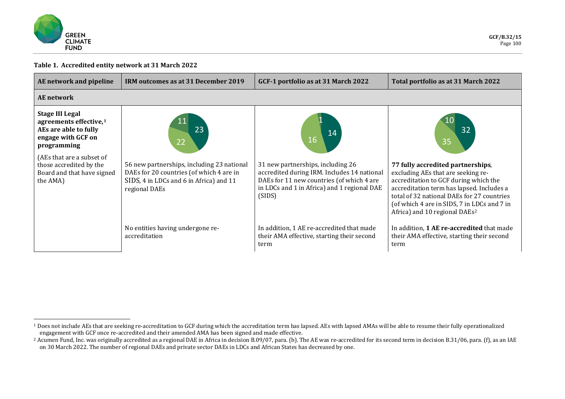<span id="page-11-1"></span><span id="page-11-0"></span>

### **Table 1. Accredited entity network at 31 March 2022**

| AE network and pipeline                                                                                                    | IRM outcomes as at 31 December 2019                                                                                                                | GCF-1 portfolio as at 31 March 2022                                                                                                                                                    | Total portfolio as at 31 March 2022                                                                                                                                                                                                                                                                     |
|----------------------------------------------------------------------------------------------------------------------------|----------------------------------------------------------------------------------------------------------------------------------------------------|----------------------------------------------------------------------------------------------------------------------------------------------------------------------------------------|---------------------------------------------------------------------------------------------------------------------------------------------------------------------------------------------------------------------------------------------------------------------------------------------------------|
| <b>AE</b> network                                                                                                          |                                                                                                                                                    |                                                                                                                                                                                        |                                                                                                                                                                                                                                                                                                         |
| <b>Stage III Legal</b><br>agreements effective, <sup>1</sup><br>AEs are able to fully<br>engage with GCF on<br>programming | 23<br>22                                                                                                                                           | 14<br>16                                                                                                                                                                               | 32<br>35                                                                                                                                                                                                                                                                                                |
| (AEs that are a subset of<br>those accredited by the<br>Board and that have signed<br>the AMA)                             | 56 new partnerships, including 23 national<br>DAEs for 20 countries (of which 4 are in<br>SIDS, 4 in LDCs and 6 in Africa) and 11<br>regional DAEs | 31 new partnerships, including 26<br>accredited during IRM. Includes 14 national<br>DAEs for 11 new countries (of which 4 are<br>in LDCs and 1 in Africa) and 1 regional DAE<br>(SIDS) | 77 fully accredited partnerships,<br>excluding AEs that are seeking re-<br>accreditation to GCF during which the<br>accreditation term has lapsed. Includes a<br>total of 32 national DAEs for 27 countries<br>(of which 4 are in SIDS, 7 in LDCs and 7 in<br>Africa) and 10 regional DAEs <sup>2</sup> |
|                                                                                                                            | No entities having undergone re-<br>accreditation                                                                                                  | In addition, 1 AE re-accredited that made<br>their AMA effective, starting their second<br>term                                                                                        | In addition, 1 AE re-accredited that made<br>their AMA effective, starting their second<br>term                                                                                                                                                                                                         |

<sup>&</sup>lt;sup>1</sup> Does not include AEs that are seeking re-accreditation to GCF during which the accreditation term has lapsed. AEs with lapsed AMAs will be able to resume their fully operationalized engagement with GCF once re-accredited and their amended AMA has been signed and made effective.

<sup>&</sup>lt;sup>2</sup> Acumen Fund, Inc. was originally accredited as a regional DAE in Africa in decision B.09/07, para. (b). The AE was re-accredited for its second term in decision B.31/06, para. (f), as an IAE on 30 March 2022. The number of regional DAEs and private sector DAEs in LDCs and African States has decreased by one.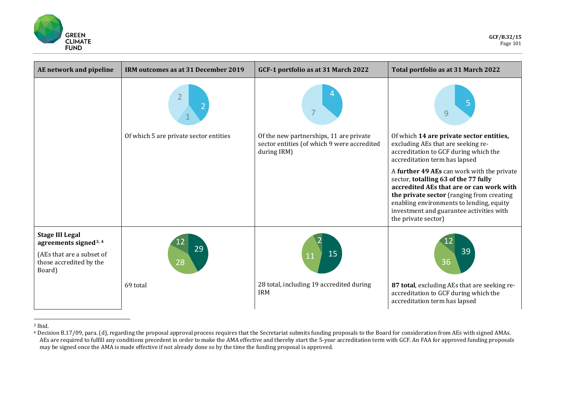<span id="page-12-1"></span><span id="page-12-0"></span>

| AE network and pipeline                                                                                                       | IRM outcomes as at 31 December 2019                      | GCF-1 portfolio as at 31 March 2022                        | Total portfolio as at 31 March 2022                                                                                                                                                                                                                                                        |
|-------------------------------------------------------------------------------------------------------------------------------|----------------------------------------------------------|------------------------------------------------------------|--------------------------------------------------------------------------------------------------------------------------------------------------------------------------------------------------------------------------------------------------------------------------------------------|
|                                                                                                                               | $\overline{2}$<br>Of which 5 are private sector entities | Of the new partnerships, 11 are private                    | 9<br>Of which 14 are private sector entities,                                                                                                                                                                                                                                              |
|                                                                                                                               |                                                          | sector entities (of which 9 were accredited<br>during IRM) | excluding AEs that are seeking re-<br>accreditation to GCF during which the<br>accreditation term has lapsed                                                                                                                                                                               |
|                                                                                                                               |                                                          |                                                            | A further 49 AEs can work with the private<br>sector, totalling 63 of the 77 fully<br>accredited AEs that are or can work with<br>the private sector (ranging from creating<br>enabling environments to lending, equity<br>investment and guarantee activities with<br>the private sector) |
| <b>Stage III Legal</b><br>agreements signed <sup>3, 4</sup><br>(AEs that are a subset of<br>those accredited by the<br>Board) | 29<br>28                                                 | 15<br>11                                                   | 39<br>36                                                                                                                                                                                                                                                                                   |
|                                                                                                                               | 69 total                                                 | 28 total, including 19 accredited during<br><b>IRM</b>     | 87 total, excluding AEs that are seeking re-<br>accreditation to GCF during which the<br>accreditation term has lapsed                                                                                                                                                                     |

<sup>3</sup> Ibid.

<sup>4</sup> Decision B.17/09, para. (d), regarding the proposal approval process requires that the Secretariat submits funding proposals to the Board for consideration from AEs with signed AMAs. AEs are required to fulfill any conditions precedent in order to make the AMA effective and thereby start the 5-year accreditation term with GCF. An FAA for approved funding proposals may be signed once the AMA is made effective if not already done so by the time the funding proposal is approved.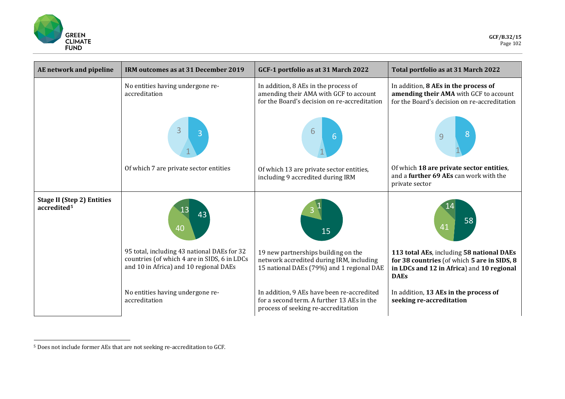<span id="page-13-0"></span>

| AE network and pipeline                                      | IRM outcomes as at 31 December 2019                                                                                                   | GCF-1 portfolio as at 31 March 2022                                                                                             | Total portfolio as at 31 March 2022                                                                                                                  |
|--------------------------------------------------------------|---------------------------------------------------------------------------------------------------------------------------------------|---------------------------------------------------------------------------------------------------------------------------------|------------------------------------------------------------------------------------------------------------------------------------------------------|
|                                                              | No entities having undergone re-<br>accreditation                                                                                     | In addition, 8 AEs in the process of<br>amending their AMA with GCF to account<br>for the Board's decision on re-accreditation  | In addition, 8 AEs in the process of<br>amending their AMA with GCF to account<br>for the Board's decision on re-accreditation                       |
|                                                              |                                                                                                                                       | 6<br>6                                                                                                                          |                                                                                                                                                      |
|                                                              | Of which 7 are private sector entities                                                                                                | Of which 13 are private sector entities,<br>including 9 accredited during IRM                                                   | Of which 18 are private sector entities,<br>and a further 69 AEs can work with the<br>private sector                                                 |
| <b>Stage II (Step 2) Entities</b><br>accredited <sup>5</sup> | 40                                                                                                                                    | 15                                                                                                                              | 58<br>41                                                                                                                                             |
|                                                              | 95 total, including 43 national DAEs for 32<br>countries (of which 4 are in SIDS, 6 in LDCs<br>and 10 in Africa) and 10 regional DAEs | 19 new partnerships building on the<br>network accredited during IRM, including<br>15 national DAEs (79%) and 1 regional DAE    | 113 total AEs, including 58 national DAEs<br>for 38 countries (of which 5 are in SIDS, 8<br>in LDCs and 12 in Africa) and 10 regional<br><b>DAEs</b> |
|                                                              | No entities having undergone re-<br>accreditation                                                                                     | In addition, 9 AEs have been re-accredited<br>for a second term. A further 13 AEs in the<br>process of seeking re-accreditation | In addition, 13 AEs in the process of<br>seeking re-accreditation                                                                                    |

<sup>5</sup> Does not include former AEs that are not seeking re-accreditation to GCF.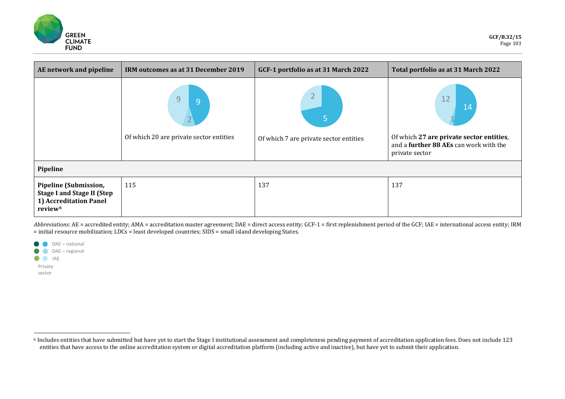<span id="page-14-0"></span>

| AE network and pipeline                                                                                     | IRM outcomes as at 31 December 2019                              | GCF-1 portfolio as at 31 March 2022         | Total portfolio as at 31 March 2022                                                                              |
|-------------------------------------------------------------------------------------------------------------|------------------------------------------------------------------|---------------------------------------------|------------------------------------------------------------------------------------------------------------------|
|                                                                                                             | 9<br>9<br>$2\sqrt{ }$<br>Of which 20 are private sector entities | 5<br>Of which 7 are private sector entities | 12<br>14<br>Of which 27 are private sector entities,<br>and a further 88 AEs can work with the<br>private sector |
| Pipeline                                                                                                    |                                                                  |                                             |                                                                                                                  |
| Pipeline (Submission,<br><b>Stage I and Stage II (Step</b><br>1) Accreditation Panel<br>review <sup>6</sup> | 115                                                              | 137                                         | 137                                                                                                              |

*Abbreviations*: AE = accredited entity; AMA = accreditation master agreement; DAE = direct access entity; GCF-1 = first replenishment period of the GCF; IAE = international access entity; IRM  $=$  initial resource mobilization; LDCs = least developed countries; SIDS = small island developing States.

|         | DAE - national |
|---------|----------------|
|         | DAE - regional |
|         | IAF            |
| Private |                |
| sector  |                |

<sup>6</sup> Includes entities that have submitted but have yet to start the Stage I institutional assessment and completeness pending payment of accreditation application fees. Does not include 123 entities that have access to the online accreditation system or digital accreditation platform (including active and inactive), but have yet to submit their application.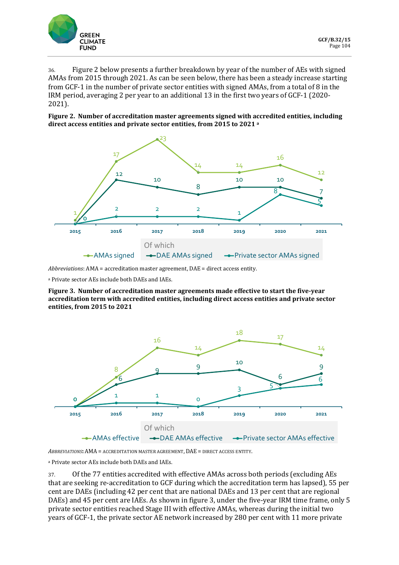

36. Figure 2 below presents a further breakdown by year of the number of AEs with signed AMAs from 2015 through 2021. As can be seen below, there has been a steady increase starting from GCF-1 in the number of private sector entities with signed AMAs, from a total of 8 in the IRM period, averaging 2 per year to an additional 13 in the first two years of GCF-1 (2020- 2021).

**Figure 2. Number of accreditation master agreements signed with accredited entities, including direct access entities and private sector entities, from 2015 to 2021 a**



*Abbreviations*: AMA = accreditation master agreement, DAE = direct access entity.

<sup>a</sup> Private sector AEs include both DAEs and IAEs.

**Figure 3. Number of accreditation master agreements made effective to start the five-year accreditation term with accredited entities, including direct access entities and private sector entities, from 2015 to 2021**



*ABBREVIATIONS***:** AMA = ACCREDITATION MASTER AGREEMENT, DAE = DIRECT ACCESS ENTITY.

<sup>a</sup> Private sector AEs include both DAEs and IAEs.

37. Of the 77 entities accredited with effective AMAs across both periods (excluding AEs that are seeking re-accreditation to GCF during which the accreditation term has lapsed), 55 per cent are DAEs (including 42 per cent that are national DAEs and 13 per cent that are regional DAEs) and 45 per cent are IAEs. As shown in figure 3, under the five-year IRM time frame, only 5 private sector entities reached Stage III with effective AMAs, whereas during the initial two years of GCF-1, the private sector AE network increased by 280 per cent with 11 more private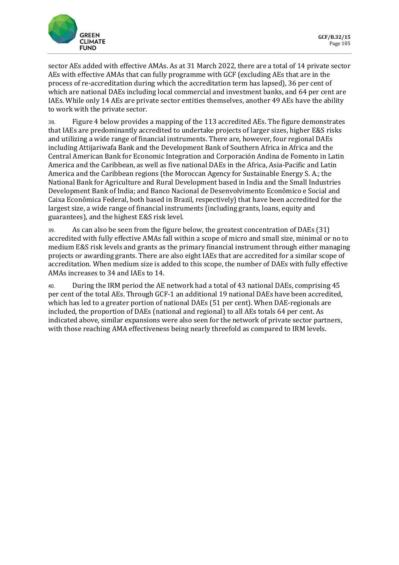![](_page_16_Picture_0.jpeg)

sector AEs added with effective AMAs. As at 31 March 2022, there are a total of 14 private sector AEs with effective AMAs that can fully programme with GCF (excluding AEs that are in the process of re-accreditation during which the accreditation term has lapsed), 36 per cent of which are national DAEs including local commercial and investment banks, and 64 per cent are IAEs. While only 14 AEs are private sector entities themselves, another 49 AEs have the ability to work with the private sector.

38. Figure 4 below provides a mapping of the 113 accredited AEs. The figure demonstrates that IAEs are predominantly accredited to undertake projects of larger sizes, higher E&S risks and utilizing a wide range of financial instruments. There are, however, four regional DAEs including Attijariwafa Bank and the Development Bank of Southern Africa in Africa and the Central American Bank for Economic Integration and Corporación Andina de Fomento in Latin America and the Caribbean, as well as five national DAEs in the Africa, Asia-Pacific and Latin America and the Caribbean regions (the Moroccan Agency for Sustainable Energy S. A.; the National Bank for Agriculture and Rural Development based in India and the Small Industries Development Bank of India; and Banco Nacional de Desenvolvimento Econômico e Social and Caixa Econômica Federal, both based in Brazil, respectively) that have been accredited for the largest size, a wide range of financial instruments (including grants, loans, equity and guarantees), and the highest E&S risk level.

39. As can also be seen from the figure below, the greatest concentration of DAEs (31) accredited with fully effective AMAs fall within a scope of micro and small size, minimal or no to medium E&S risk levels and grants as the primary financial instrument through either managing projects or awarding grants. There are also eight IAEs that are accredited for a similar scope of accreditation. When medium size is added to this scope, the number of DAEs with fully effective AMAs increases to 34 and IAEs to 14.

40. During the IRM period the AE network had a total of 43 national DAEs, comprising 45 per cent of the total AEs. Through GCF-1 an additional 19 national DAEs have been accredited, which has led to a greater portion of national DAEs (51 per cent). When DAE-regionals are included, the proportion of DAEs (national and regional) to all AEs totals 64 per cent. As indicated above, similar expansions were also seen for the network of private sector partners, with those reaching AMA effectiveness being nearly threefold as compared to IRM levels.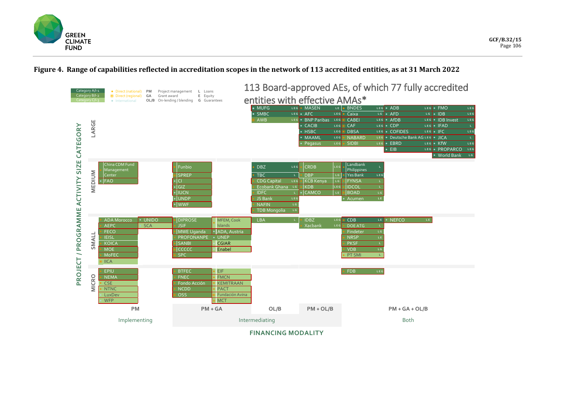![](_page_17_Picture_0.jpeg)

### **Figure 4. Range of capabilities reflected in accreditation scopes in the network of 113 accredited entities, as at 31 March 2022**

![](_page_17_Figure_3.jpeg)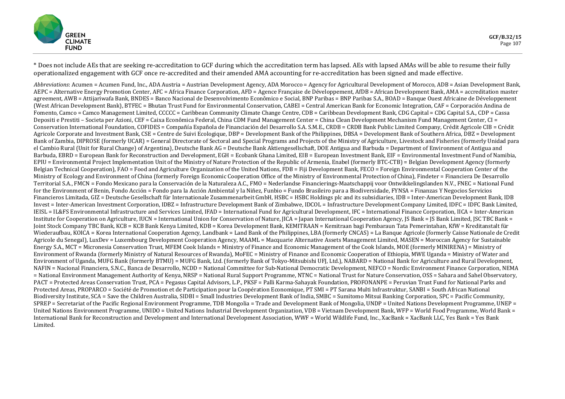![](_page_18_Picture_0.jpeg)

\* Does not include AEs that are seeking re-accreditation to GCF during which the accreditation term has lapsed. AEs with lapsed AMAs will be able to resume their fully operationalized engagement with GCF once re-accredited and their amended AMA accounting for re-accreditation has been signed and made effective.

*Abbreviations*: Acumen = Acumen Fund, Inc., ADA Austria = Austrian Development Agency, ADA Morocco = Agency for Agricultural Development of Morocco, ADB = Asian Development Bank, AEPC = Alternative Energy Promotion Center, AFC = Africa Finance Corporation, AFD = Agence Française de Développement, AfDB = African Development Bank, AMA = accreditation master agreement, AWB = Attijariwafa Bank, BNDES = Banco Nacional de Desenvolvimento Econômico e Social, BNP Paribas = BNP Paribas S.A., BOAD = Banque Ouest Africaine de Développement (West African Development Bank), BTFEC = Bhutan Trust Fund for Environmental Conservation, CABEI = Central American Bank for Economic Integration, CAF = Corporación Andina de Fomento, Camco = Camco Management Limited, CCCCC = Caribbean Community Climate Change Centre, CDB = Caribbean Development Bank, CDG Capital = CDG Capital S.A., CDP = Cassa Depositi e Prestiti – Societa per Azioni, CEF = Caixa Econômica Federal, China CDM Fund Management Center = China Clean Development Mechanism Fund Management Center, CI = Conservation International Foundation, COFIDES = Compañía Española de Financiación del Desarrollo S.A. S.M.E., CRDB = CRDB Bank Public Limited Company, Crédit Agricole CIB = Crédit Agricole Corporate and Investment Bank, CSE = Centre de Suivi Ecologique, DBP = Development Bank of the Philippines, DBSA = Development Bank of Southern Africa, DBZ = Development Bank of Zambia, DIPROSE (formerly UCAR) = General Directorate of Sectoral and Special Programs and Projects of the Ministry of Agriculture, Livestock and Fisheries (formerly Unidad para el Cambio Rural (Unit for Rural Change) of Argentina), Deutsche Bank AG = Deutsche Bank Aktiengesellschaft, DOE Antigua and Barbuda = Department of Environment of Antigua and Barbuda, EBRD = European Bank for Reconstruction and Development, EGH = Ecobank Ghana Limited, EIB = European Investment Bank, EIF = Environmental Investment Fund of Namibia, EPIU = Environmental Project Implementation Unit of the Ministry of Nature Protection of the Republic of Armenia, Enabel (formerly BTC-CTB) = Belgian Development Agency (formerly Belgian Technical Cooperation), FAO = Food and Agriculture Organization of the United Nations, FDB = Fiji Development Bank, FECO = Foreign Environmental Cooperation Center of the Ministry of Ecology and Environment of China (formerly Foreign Economic Cooperation Office of the Ministry of Environmental Protection of China), Findeter = Financiera De Desarrollo Territorial S.A., FMCN = Fondo Mexicano para la Conservación de la Naturaleza A.C., FMO = Nederlandse Financierings-Maatschappij voor Ontwikkelingslanden N.V., FNEC = National Fund for the Environment of Benin, Fondo Acción = Fondo para la Acción Ambiental y la Niñez, Funbio = Fundo Brasileiro para a Biodiversidade, FYNSA = Finanzas Y Negocios Servicios Financieros Limitada, GIZ = Deutsche Gesellschaft für Internationale Zusammenarbeit GmbH, HSBC = HSBC Holdings plc and its subsidiaries, IDB = Inter-American Development Bank, IDB Invest = Inter-American Investment Corporation, IDBZ = Infrastructure Development Bank of Zimbabwe, IDCOL = Infrastructure Development Company Limited, IDFC = IDFC Bank Limited, IEISL = IL&FS Environmental Infrastructure and Services Limited, IFAD = International Fund for Agricultural Development, IFC = International Finance Corporation, IICA = Inter-American Institute for Cooperation on Agriculture, IUCN = International Union for Conservation of Nature, JICA = Japan International Cooperation Agency, JS Bank = JS Bank Limited, JSC TBC Bank = Joint Stock Company TBC Bank, KCB = KCB Bank Kenya Limited, KDB = Korea Development Bank, KEMITRAAN = Kemitraan bagi Pembaraun Tata Pemerintahan, KfW = Kreditanstalt für Wiederaufbau, KOICA = Korea International Cooperation Agency, Landbank = Land Bank of the Philippines, LBA (formerly CNCAS) = La Banque Agricole (formerly Caisse Nationale de Credit Agricole du Senegal), LuxDev = Luxembourg Development Cooperation Agency, MAAML = Macquarie Alternative Assets Management Limited, MASEN = Moroccan Agency for Sustainable Energy S.A., MCT = Micronesia Conservation Trust, MFEM Cook Islands = Ministry of Finance and Economic Management of the Cook Islands, MOE (formerly MINIRENA) = Ministry of Environment of Rwanda (formerly Ministry of Natural Resources of Rwanda), MoFEC = Ministry of Finance and Economic Cooperation of Ethiopia, MWE Uganda = Ministry of Water and Environment of Uganda, MUFG Bank (formerly BTMU) = MUFG Bank, Ltd. (formerly Bank of Tokyo-Mitsubishi UFJ, Ltd.), NABARD = National Bank for Agriculture and Rural Development, NAFIN = Nacional Financiera, S.N.C., Banca de Desarrollo, NCDD = National Committee for Sub-National Democratic Development, NEFCO = Nordic Environment Finance Corporation, NEMA = National Environment Management Authority of Kenya, NRSP = National Rural Support Programme, NTNC = National Trust for Nature Conservation, OSS = Sahara and Sahel Observatory, PACT = Protected Areas Conservation Trust, PCA = Pegasus Capital Advisors, L.P., PKSF = Palli Karma-Sahayak Foundation, PROFONANPE = Peruvian Trust Fund for National Parks and Protected Areas, PROPARCO = Société de Promotion et de Participation pour la Coopération Economique, PT SMI = PT Sarana Multi Infrastruktur, SANBI = South African National Biodiversity Institute, SCA = Save the Children Australia, SIDBI = Small Industries Development Bank of India, SMBC = Sumitomo Mitsui Banking Corporation, SPC = Pacific Community, SPREP = Secretariat of the Pacific Regional Environment Programme, TDB Mongolia = Trade and Development Bank of Mongolia, UNDP = United Nations Development Programme, UNEP = United Nations Environment Programme, UNIDO = United Nations Industrial Development Organization, VDB = Vietnam Development Bank, WFP = World Food Programme, World Bank = International Bank for Reconstruction and Development and International Development Association, WWF = World Wildlife Fund, Inc., XacBank = XacBank LLC, Yes Bank = Yes Bank Limited.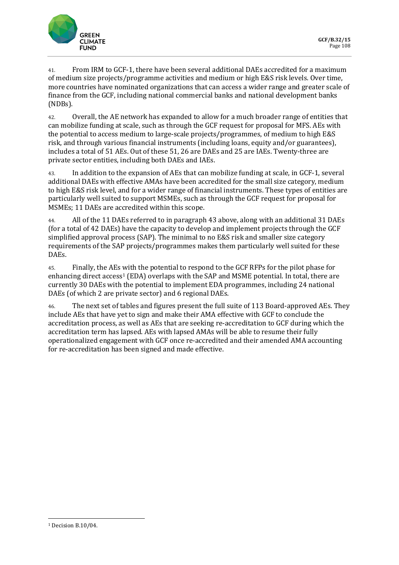![](_page_19_Picture_0.jpeg)

41. From IRM to GCF-1, there have been several additional DAEs accredited for a maximum of medium size projects/programme activities and medium or high E&S risk levels. Over time, more countries have nominated organizations that can access a wider range and greater scale of finance from the GCF, including national commercial banks and national development banks (NDBs).

42. Overall, the AE network has expanded to allow for a much broader range of entities that can mobilize funding at scale, such as through the GCF request for proposal for MFS. AEs with the potential to access medium to large-scale projects/programmes, of medium to high E&S risk, and through various financial instruments (including loans, equity and/or guarantees), includes a total of 51 AEs. Out of these 51, 26 are DAEs and 25 are IAEs. Twenty-three are private sector entities, including both DAEs and IAEs.

43. In addition to the expansion of AEs that can mobilize funding at scale, in GCF-1, several additional DAEs with effective AMAs have been accredited for the small size category, medium to high E&S risk level, and for a wider range of financial instruments. These types of entities are particularly well suited to support MSMEs, such as through the GCF request for proposal for MSMEs; 11 DAEs are accredited within this scope.

44. All of the 11 DAEs referred to in paragraph 43 above, along with an additional 31 DAEs (for a total of 42 DAEs) have the capacity to develop and implement projects through the GCF simplified approval process (SAP). The minimal to no E&S risk and smaller size category requirements of the SAP projects/programmes makes them particularly well suited for these DAEs.

45. Finally, the AEs with the potential to respond to the GCF RFPs for the pilot phase for enhancing direct access<sup>1</sup> (EDA) overlaps with the SAP and MSME potential. In total, there are currently 30 DAEs with the potential to implement EDA programmes, including 24 national DAEs (of which 2 are private sector) and 6 regional DAEs.

46. The next set of tables and figures present the full suite of 113 Board-approved AEs. They include AEs that have yet to sign and make their AMA effective with GCF to conclude the accreditation process, as well as AEs that are seeking re-accreditation to GCF during which the accreditation term has lapsed. AEs with lapsed AMAs will be able to resume their fully operationalized engagement with GCF once re-accredited and their amended AMA accounting for re-accreditation has been signed and made effective.

<span id="page-19-0"></span><sup>1</sup> Decision B.10/04.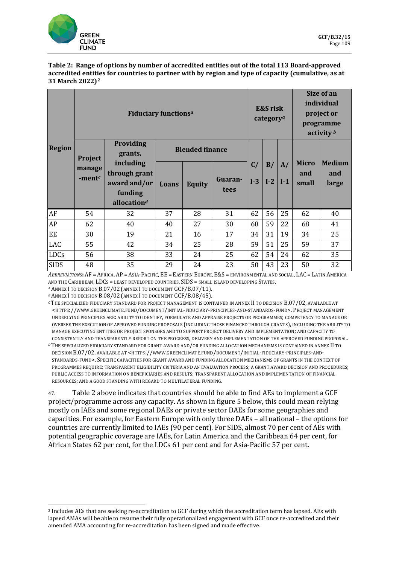![](_page_20_Picture_0.jpeg)

#### **Table 2: Range of options by number of accredited entities out of the total 113 Board-approved accredited entities for countries to partner with by region and type of capacity (cumulative, as at 31 March 2022)[2](#page-20-0)**

|               | <b>Fiduciary functions</b> <sup>a</sup> |                                                                                  |       |                        | <b>E&amp;S</b> risk<br>category <sup>a</sup> |             |             | Size of an<br>individual<br>project or<br>programme<br>activity $\frac{b}{b}$ |                              |                               |
|---------------|-----------------------------------------|----------------------------------------------------------------------------------|-------|------------------------|----------------------------------------------|-------------|-------------|-------------------------------------------------------------------------------|------------------------------|-------------------------------|
| <b>Region</b> | Project                                 | <b>Providing</b><br>grants,                                                      |       | <b>Blended finance</b> |                                              |             |             |                                                                               |                              |                               |
|               | manage<br>-ment $c$                     | including<br>through grant<br>award and/or<br>funding<br>allocation <sup>d</sup> | Loans | <b>Equity</b>          | Guaran-<br>tees                              | C/<br>$I-3$ | B/<br>$I-2$ | A/<br>$ I-1 $                                                                 | <b>Micro</b><br>and<br>small | <b>Medium</b><br>and<br>large |
| AF            | 54                                      | 32                                                                               | 37    | 28                     | 31                                           | 62          | 56          | 25                                                                            | 62                           | 40                            |
| AP            | 62                                      | 40                                                                               | 40    | 27                     | 30                                           | 68          | 59          | 22                                                                            | 68                           | 41                            |
| EE            | 30                                      | 19                                                                               | 21    | 16                     | 17                                           | 34          | 31          | 19                                                                            | 34                           | 25                            |
| LAC           | 55                                      | 42                                                                               | 34    | 25                     | 28                                           | 59          | 51          | 25                                                                            | 59                           | 37                            |
| LDCs          | 56                                      | 38                                                                               | 33    | 24                     | 25                                           | 62          | 54          | 24                                                                            | 62                           | 35                            |
| <b>SIDS</b>   | 48                                      | 35                                                                               | 29    | 24                     | 23                                           | 50          | 43          | 23                                                                            | 50                           | 32                            |

*ABBREVIATIONS***:** AF = AFRICA, AP = ASIA-PACIFIC, EE = EASTERN EUROPE, E&S = ENVIRONMENTAL AND SOCIAL, LAC = LATIN AMERICA AND THE CARIBBEAN, LDCS = LEAST DEVELOPED COUNTRIES, SIDS = SMALL ISLAND DEVELOPING STATES.

*<sup>A</sup>* ANNEX I TO DECISION B.07/02 (ANNEX I TO DOCUMENT GCF/B.07/11).

*<sup>B</sup>* ANNEX I TO DECISION B.08/02 (ANNEX I TO DOCUMENT GCF/B.08/45).

*<sup>C</sup>* THE SPECIALIZED FIDUCIARY STANDARD FOR PROJECT MANAGEMENT IS CONTAINED IN ANNEX II TO DECISION B.07/02, AVAILABLE AT [<HTTPS://WWW.GREENCLIMATE.FUND/DOCUMENT/INITIAL-FIDUCIARY-PRINCIPLES-AND-STANDARDS-FUND>](https://www.greenclimate.fund/document/initial-fiduciary-principles-and-standards-fund). PROJECT MANAGEMENT UNDERLYING PRINCIPLES ARE: ABILITY TO IDENTIFY, FORMULATE AND APPRAISE PROJECTS OR PROGRAMMES; COMPETENCY TO MANAGE OR OVERSEE THE EXECUTION OF APPROVED FUNDING PROPOSALS (INCLUDING THOSE FINANCED THROUGH GRANTS), INCLUDING THE ABILITY TO MANAGE EXECUTING ENTITIES OR PROJECT SPONSORS AND TO SUPPORT PROJECT DELIVERY AND IMPLEMENTATION; AND CAPACITY TO CONSISTENTLY AND TRANSPARENTLY REPORT ON THE PROGRESS, DELIVERY AND IMPLEMENTATION OF THE APPROVED FUNDING PROPOSAL.

*<sup>D</sup>* THE SPECIALIZED FIDUCIARY STANDARD FOR GRANT AWARD AND/OR FUNDING ALLOCATION MECHANISMS IS CONTAINED IN ANNEX II TO DECISION B.07/02, AVAILABLE AT [<HTTPS://WWW.GREENCLIMATE.FUND/DOCUMENT/INITIAL-FIDUCIARY-PRINCIPLES-AND-](https://www.greenclimate.fund/document/initial-fiduciary-principles-and-standards-fund)[STANDARDS-FUND>](https://www.greenclimate.fund/document/initial-fiduciary-principles-and-standards-fund). SPECIFIC CAPACITIES FOR GRANT AWARD AND FUNDING ALLOCATION MECHANISMS OF GRANTS IN THE CONTEXT OF PROGRAMMES REQUIRE: TRANSPARENT ELIGIBILITY CRITERIA AND AN EVALUATION PROCESS; A GRANT AWARD DECISION AND PROCEDURES; PUBLIC ACCESS TO INFORMATION ON BENEFICIARIES AND RESULTS; TRANSPARENT ALLOCATION AND IMPLEMENTATION OF FINANCIAL RESOURCES; AND A GOOD STANDING WITH REGARD TO MULTILATERAL FUNDING.

47. Table 2 above indicates that countries should be able to find AEs to implement a GCF project/programme across any capacity. As shown in figure 5 below, this could mean relying mostly on IAEs and some regional DAEs or private sector DAEs for some geographies and capacities. For example, for Eastern Europe with only three DAEs – all national – the options for countries are currently limited to IAEs (90 per cent). For SIDS, almost 70 per cent of AEs with potential geographic coverage are IAEs, for Latin America and the Caribbean 64 per cent, for African States 62 per cent, for the LDCs 61 per cent and for Asia-Pacific 57 per cent.

<span id="page-20-0"></span><sup>2</sup> Includes AEs that are seeking re-accreditation to GCF during which the accreditation term has lapsed. AEs with lapsed AMAs will be able to resume their fully operationalized engagement with GCF once re-accredited and their amended AMA accounting for re-accreditation has been signed and made effective.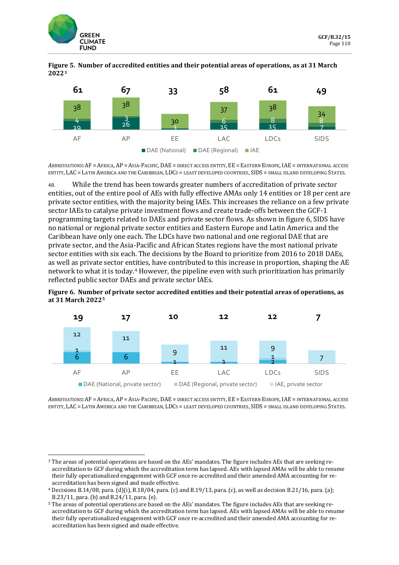![](_page_21_Picture_0.jpeg)

![](_page_21_Figure_2.jpeg)

![](_page_21_Figure_3.jpeg)

*ABBREVIATIONS***:** AF = AFRICA, AP = ASIA-PACIFIC, DAE = DIRECT ACCESS ENTITY, EE = EASTERN EUROPE, IAE = INTERNATIONAL ACCESS ENTITY, LAC = LATIN AMERICA AND THE CARIBBEAN, LDCS = LEAST DEVELOPED COUNTRIES, SIDS = SMALL ISLAND DEVELOPING STATES.

48. While the trend has been towards greater numbers of accreditation of private sector entities, out of the entire pool of AEs with fully effective AMAs only 14 entities or 18 per cent are private sector entities, with the majority being IAEs. This increases the reliance on a few private sector IAEs to catalyse private investment flows and create trade-offs between the GCF-1 programming targets related to DAEs and private sector flows. As shown in figure 6, SIDS have no national or regional private sector entities and Eastern Europe and Latin America and the Caribbean have only one each. The LDCs have two national and one regional DAE that are private sector, and the Asia-Pacific and African States regions have the most national private sector entities with six each. The decisions by the Board to prioritize from 2016 to 2018 DAEs, as well as private sector entities, have contributed to this increase in proportion, shaping the AE network to what it is today.[4](#page-21-1) However, the pipeline even with such prioritization has primarily reflected public sector DAEs and private sector IAEs.

**Figure 6. Number of private sector accredited entities and their potential areas of operations, as at 31 March 2022[5](#page-21-2)**

![](_page_21_Figure_7.jpeg)

*ABBREVIATIONS***:** AF = AFRICA, AP = ASIA-PACIFIC, DAE = DIRECT ACCESS ENTITY, EE = EASTERN EUROPE, IAE = INTERNATIONAL ACCESS ENTITY, LAC = LATIN AMERICA AND THE CARIBBEAN, LDCS = LEAST DEVELOPED COUNTRIES, SIDS = SMALL ISLAND DEVELOPING STATES.

<span id="page-21-0"></span><sup>3</sup> The areas of potential operations are based on the AEs' mandates. The figure includes AEs that are seeking reaccreditation to GCF during which the accreditation term has lapsed. AEs with lapsed AMAs will be able to resume their fully operationalized engagement with GCF once re-accredited and their amended AMA accounting for reaccreditation has been signed and made effective.

<span id="page-21-1"></span><sup>4</sup> Decisions B.14/08, para. (d)(i), B.18/04, para. (c) and B.19/13, para. (c), as well as decision B.21/16, para. (a);<br>B.23/11, para. (b) and B.24/11, para. (e).

<span id="page-21-2"></span><sup>&</sup>lt;sup>5</sup> The areas of potential operations are based on the AEs' mandates. The figure includes AEs that are seeking reaccreditation to GCF during which the accreditation term has lapsed. AEs with lapsed AMAs will be able to resume their fully operationalized engagement with GCF once re-accredited and their amended AMA accounting for reaccreditation has been signed and made effective.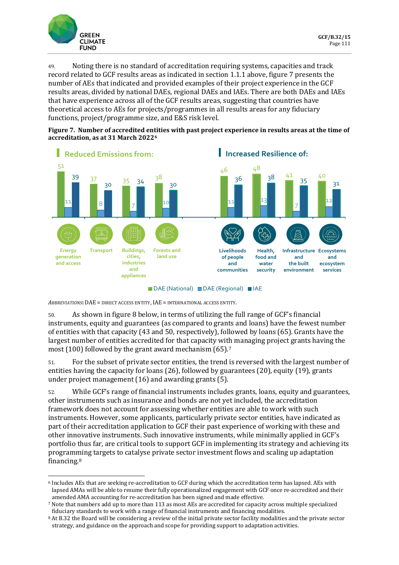![](_page_22_Picture_0.jpeg)

49. Noting there is no standard of accreditation requiring systems, capacities and track record related to GCF results areas as indicated in section 1.1.1 above, figure 7 presents the number of AEs that indicated and provided examples of their project experience in the GCF results areas, divided by national DAEs, regional DAEs and IAEs. There are both DAEs and IAEs that have experience across all of the GCF results areas, suggesting that countries have theoretical access to AEs for projects/programmes in all results areas for any fiduciary functions, project/programme size, and E&S risk level.

**Figure 7. Number of accredited entities with past project experience in results areas at the time of accreditation, as at 31 March 2022[6](#page-22-0)**

![](_page_22_Figure_4.jpeg)

■ DAE (National) ■ DAE (Regional) ■ IAE

*ABBREVIATIONS***:** DAE = DIRECT ACCESS ENTITY, IAE = INTERNATIONAL ACCESS ENTITY.

50. As shown in figure 8 below, in terms of utilizing the full range of GCF's financial instruments, equity and guarantees (as compared to grants and loans) have the fewest number of entities with that capacity (43 and 50, respectively), followed by loans (65). Grants have the largest number of entities accredited for that capacity with managing project grants having the most (100) followed by the grant award mechanism (65).[7](#page-22-1)

51. For the subset of private sector entities, the trend is reversed with the largest number of entities having the capacity for loans (26), followed by guarantees (20), equity (19), grants under project management (16) and awarding grants (5).

52. While GCF's range of financial instruments includes grants, loans, equity and guarantees, other instruments such as insurance and bonds are not yet included, the accreditation framework does not account for assessing whether entities are able to work with such instruments. However, some applicants, particularly private sector entities, have indicated as part of their accreditation application to GCF their past experience of working with these and other innovative instruments. Such innovative instruments, while minimally applied in GCF's portfolio thus far, are critical tools to support GCF in implementing its strategy and achieving its programming targets to catalyse private sector investment flows and scaling up adaptation financing.[8](#page-22-2)

<span id="page-22-0"></span><sup>6</sup> Includes AEs that are seeking re-accreditation to GCF during which the accreditation term has lapsed. AEs with lapsed AMAs will be able to resume their fully operationalized engagement with GCF once re-accredited and their amended AMA accounting for re-accreditation has been signed and made effective.

<span id="page-22-1"></span><sup>7</sup> Note that numbers add up to more than 113 as most AEs are accredited for capacity across multiple specialized fiduciary standards to work with a range of financial instruments and financing modalities.

<span id="page-22-2"></span><sup>8</sup> At B.32 the Board will be considering a review of the initial private sector facility modalities and the private sector strategy, and guidance on the approach and scope for providing support to adaptation activities.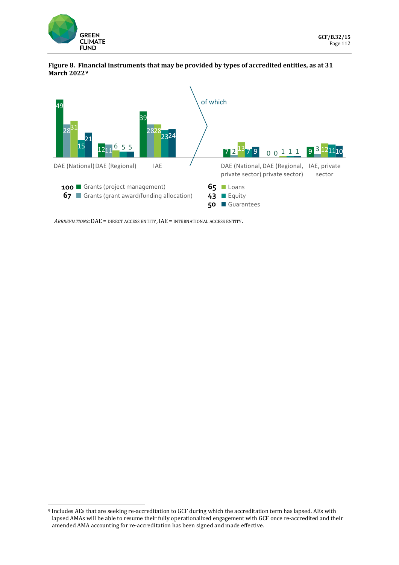![](_page_23_Picture_0.jpeg)

### **Figure 8. Financial instruments that may be provided by types of accredited entities, as at 31 March 2022[9](#page-23-0)**

![](_page_23_Figure_3.jpeg)

*ABBREVIATIONS***:** DAE = DIRECT ACCESS ENTITY, IAE = INTERNATIONAL ACCESS ENTITY.

<span id="page-23-0"></span><sup>9</sup> Includes AEs that are seeking re-accreditation to GCF during which the accreditation term has lapsed. AEs with lapsed AMAs will be able to resume their fully operationalized engagement with GCF once re-accredited and their amended AMA accounting for re-accreditation has been signed and made effective.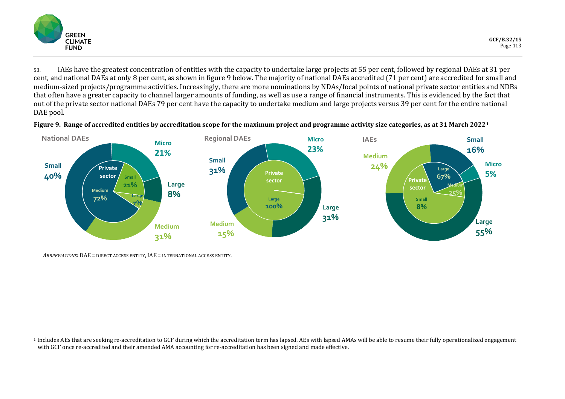<span id="page-24-0"></span>![](_page_24_Picture_0.jpeg)

53. IAEs have the greatest concentration of entities with the capacity to undertake large projects at 55 per cent, followed by regional DAEs at 31 per cent, and national DAEs at only 8 per cent, as shown in figure 9 below. The majority of national DAEs accredited (71 per cent) are accredited for small and medium-sized projects/programme activities. Increasingly, there are more nominations by NDAs/focal points of national private sector entities and NDBs that often have a greater capacity to channel larger amounts of funding, as well as use a range of financial instruments. This is evidenced by the fact that out of the private sector national DAEs 79 per cent have the capacity to undertake medium and large projects versus 39 per cent for the entire national DAE pool.

![](_page_24_Figure_3.jpeg)

![](_page_24_Figure_4.jpeg)

*ABBREVIATIONS***:** DAE = DIRECT ACCESS ENTITY, IAE = INTERNATIONAL ACCESS ENTITY.

<sup>1</sup> Includes AEs that are seeking re-accreditation to GCF during which the accreditation term has lapsed. AEs with lapsed AMAs will be able to resume their fully operationalized engagement with GCF once re-accredited and their amended AMA accounting for re-accreditation has been signed and made effective.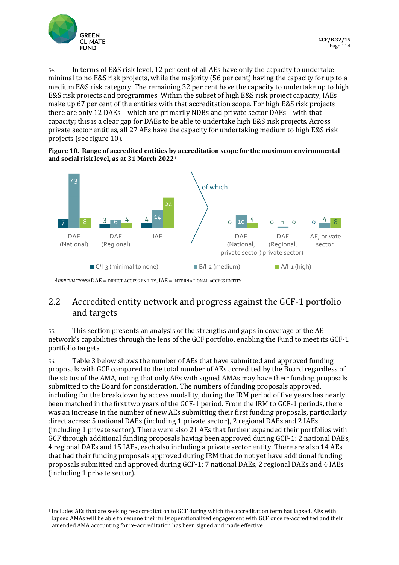![](_page_25_Picture_0.jpeg)

54. In terms of E&S risk level, 12 per cent of all AEs have only the capacity to undertake minimal to no E&S risk projects, while the majority (56 per cent) having the capacity for up to a medium E&S risk category. The remaining 32 per cent have the capacity to undertake up to high E&S risk projects and programmes. Within the subset of high E&S risk project capacity, IAEs make up 67 per cent of the entities with that accreditation scope. For high E&S risk projects there are only 12 DAEs – which are primarily NDBs and private sector DAEs – with that capacity; this is a clear gap for DAEs to be able to undertake high E&S risk projects. Across private sector entities, all 27 AEs have the capacity for undertaking medium to high E&S risk projects (see figure 10).

### **Figure 10. Range of accredited entities by accreditation scope for the maximum environmental and social risk level, as at 31 March 2022[1](#page-25-0)**

![](_page_25_Figure_4.jpeg)

*ABBREVIATIONS***:** DAE = DIRECT ACCESS ENTITY, IAE = INTERNATIONAL ACCESS ENTITY.

## 2.2 Accredited entity network and progress against the GCF-1 portfolio and targets

55. This section presents an analysis of the strengths and gaps in coverage of the AE network's capabilities through the lens of the GCF portfolio, enabling the Fund to meet its GCF-1 portfolio targets.

56. Table 3 below shows the number of AEs that have submitted and approved funding proposals with GCF compared to the total number of AEs accredited by the Board regardless of the status of the AMA, noting that only AEs with signed AMAs may have their funding proposals submitted to the Board for consideration. The numbers of funding proposals approved, including for the breakdown by access modality, during the IRM period of five years has nearly been matched in the first two years of the GCF-1 period. From the IRM to GCF-1 periods, there was an increase in the number of new AEs submitting their first funding proposals, particularly direct access: 5 national DAEs (including 1 private sector), 2 regional DAEs and 2 IAEs (including 1 private sector). There were also 21 AEs that further expanded their portfolios with GCF through additional funding proposals having been approved during GCF-1: 2 national DAEs, 4 regional DAEs and 15 IAEs, each also including a private sector entity. There are also 14 AEs that had their funding proposals approved during IRM that do not yet have additional funding proposals submitted and approved during GCF-1: 7 national DAEs, 2 regional DAEs and 4 IAEs (including 1 private sector).

<span id="page-25-0"></span><sup>1</sup> Includes AEs that are seeking re-accreditation to GCF during which the accreditation term has lapsed. AEs with lapsed AMAs will be able to resume their fully operationalized engagement with GCF once re-accredited and their amended AMA accounting for re-accreditation has been signed and made effective.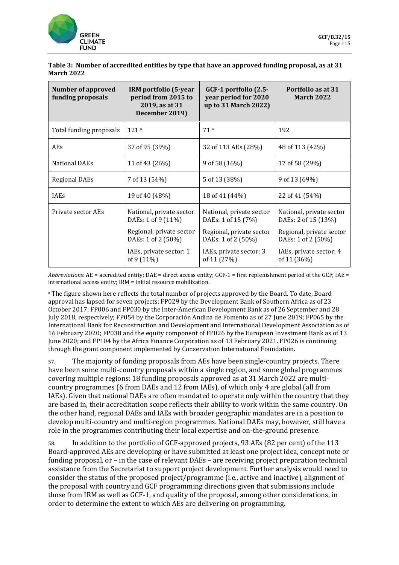![](_page_26_Picture_0.jpeg)

| Table 3: Number of accredited entities by type that have an approved funding proposal, as at 31 |  |
|-------------------------------------------------------------------------------------------------|--|
| March 2022                                                                                      |  |

| <b>Number of approved</b><br>funding proposals | IRM portfolio (5-year<br>period from 2015 to<br>2019, as at 31<br>December 2019)                                                          | GCF-1 portfolio (2.5-<br>year period for 2020<br>up to 31 March 2022)                                                                      | Portfolio as at 31<br><b>March 2022</b>                                                                                                     |
|------------------------------------------------|-------------------------------------------------------------------------------------------------------------------------------------------|--------------------------------------------------------------------------------------------------------------------------------------------|---------------------------------------------------------------------------------------------------------------------------------------------|
| Total funding proposals                        | 121a                                                                                                                                      | 71a                                                                                                                                        | 192                                                                                                                                         |
| AEs                                            | 37 of 95 (39%)                                                                                                                            | 32 of 113 AEs (28%)                                                                                                                        | 48 of 113 (42%)                                                                                                                             |
| <b>National DAEs</b>                           | 11 of 43 (26%)                                                                                                                            | 9 of 58 (16%)                                                                                                                              | 17 of 58 (29%)                                                                                                                              |
| <b>Regional DAEs</b>                           | 7 of 13 (54%)                                                                                                                             | 5 of 13 (38%)                                                                                                                              | 9 of 13 (69%)                                                                                                                               |
| <b>IAEs</b>                                    | 19 of 40 (48%)                                                                                                                            | 18 of 41 (44%)                                                                                                                             | 22 of 41 (54%)                                                                                                                              |
| Private sector AEs                             | National, private sector<br>DAEs: 1 of 9 (11%)<br>Regional, private sector<br>DAEs: 1 of 2 (50%)<br>IAEs, private sector: 1<br>of 9 (11%) | National, private sector<br>DAEs: 1 of 15 (7%)<br>Regional, private sector<br>DAEs: 1 of 2 (50%)<br>IAEs, private sector: 3<br>of 11 (27%) | National, private sector<br>DAEs: 2 of 15 (13%)<br>Regional, private sector<br>DAEs: 1 of 2 (50%)<br>IAEs, private sector: 4<br>of 11 (36%) |

*Abbreviations*: AE = accredited entity; DAE = direct access entity; GCF-1 = first replenishment period of the GCF; IAE = international access entity; IRM = initial resource mobilization.

<sup>a</sup> The figure shown here reflects the total number of projects approved by the Board. To date, Board approval has lapsed for seven projects: FP029 by the Development Bank of Southern Africa as of 23 October 2017; FP006 and FP030 by the Inter-American Development Bank as of 26 September and 28 July 2018, respectively; FP054 by the Corporación Andina de Fomento as of 27 June 2019; FP065 by the International Bank for Reconstruction and Development and International Development Association as of 16 February 2020; FP038 and the equity component of FP026 by the European Investment Bank as of 13 June 2020; and FP104 by the Africa Finance Corporation as of 13 February 2021. FP026 is continuing through the grant component implemented by Conservation International Foundation.

57. The majority of funding proposals from AEs have been single-country projects. There have been some multi-country proposals within a single region, and some global programmes covering multiple regions: 18 funding proposals approved as at 31 March 2022 are multicountry programmes (6 from DAEs and 12 from IAEs), of which only 4 are global (all from IAEs). Given that national DAEs are often mandated to operate only within the country that they are based in, their accreditation scope reflects their ability to work within the same country. On the other hand, regional DAEs and IAEs with broader geographic mandates are in a position to develop multi-country and multi-region programmes. National DAEs may, however, still have a role in the programmes contributing their local expertise and on-the-ground presence.

58. In addition to the portfolio of GCF-approved projects, 93 AEs (82 per cent) of the 113 Board-approved AEs are developing or have submitted at least one project idea, concept note or funding proposal, or – in the case of relevant DAEs – are receiving project preparation technical assistance from the Secretariat to support project development. Further analysis would need to consider the status of the proposed project/programme (i.e., active and inactive), alignment of the proposal with country and GCF programming directions given that submissions include those from IRM as well as GCF-1, and quality of the proposal, among other considerations, in order to determine the extent to which AEs are delivering on programming.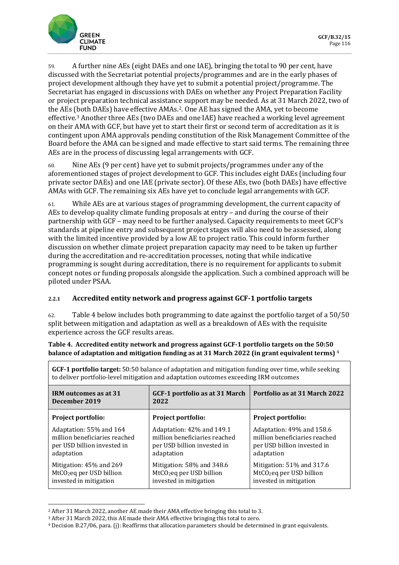![](_page_27_Picture_1.jpeg)

59. A further nine AEs (eight DAEs and one IAE), bringing the total to 90 per cent, have discussed with the Secretariat potential projects/programmes and are in the early phases of project development although they have yet to submit a potential project/programme. The Secretariat has engaged in discussions with DAEs on whether any Project Preparation Facility or project preparation technical assistance support may be needed. As at 31 March 2022, two of the AEs (both DAEs) have effective AMAs.[2](#page-27-0). One AE has signed the AMA, yet to become effective.[3](#page-27-1) Another three AEs (two DAEs and one IAE) have reached a working level agreement on their AMA with GCF, but have yet to start their first or second term of accreditation as it is contingent upon AMA approvals pending constitution of the Risk Management Committee of the Board before the AMA can be signed and made effective to start said terms. The remaining three AEs are in the process of discussing legal arrangements with GCF.

60. Nine AEs (9 per cent) have yet to submit projects/programmes under any of the aforementioned stages of project development to GCF. This includes eight DAEs (including four private sector DAEs) and one IAE (private sector). Of these AEs, two (both DAEs) have effective AMAs with GCF. The remaining six AEs have yet to conclude legal arrangements with GCF.

61. While AEs are at various stages of programming development, the current capacity of AEs to develop quality climate funding proposals at entry – and during the course of their partnership with GCF – may need to be further analysed. Capacity requirements to meet GCF's standards at pipeline entry and subsequent project stages will also need to be assessed, along with the limited incentive provided by a low AE to project ratio. This could inform further discussion on whether climate project preparation capacity may need to be taken up further during the accreditation and re-accreditation processes, noting that while indicative programming is sought during accreditation, there is no requirement for applicants to submit concept notes or funding proposals alongside the application. Such a combined approach will be piloted under PSAA.

## **2.2.1 Accredited entity network and progress against GCF-1 portfolio targets**

62. Table 4 below includes both programming to date against the portfolio target of a 50/50 split between mitigation and adaptation as well as a breakdown of AEs with the requisite experience across the GCF results areas.

**Table 4. Accredited entity network and progress against GCF-1 portfolio targets on the 50:50 balance of adaptation and mitigation funding as at 31 March 2022 (in grant equivalent terms)** [4](#page-27-2)

| GCF-1 portfolio target: 50:50 balance of adaptation and mitigation funding over time, while seeking<br>to deliver portfolio-level mitigation and adaptation outcomes exceeding IRM outcomes |                                                                                                         |                                                                                                         |  |  |
|---------------------------------------------------------------------------------------------------------------------------------------------------------------------------------------------|---------------------------------------------------------------------------------------------------------|---------------------------------------------------------------------------------------------------------|--|--|
| GCF-1 portfolio as at 31 March<br>IRM outcomes as at 31<br>December 2019<br>2022                                                                                                            |                                                                                                         | Portfolio as at 31 March 2022                                                                           |  |  |
| Project portfolio:                                                                                                                                                                          | Project portfolio:                                                                                      | Project portfolio:                                                                                      |  |  |
| Adaptation: 55% and 164<br>million beneficiaries reached<br>per USD billion invested in<br>adaptation                                                                                       | Adaptation: 42% and 149.1<br>million beneficiaries reached<br>per USD billion invested in<br>adaptation | Adaptation: 49% and 158.6<br>million beneficiaries reached<br>per USD billion invested in<br>adaptation |  |  |
| Mitigation: 45% and 269<br>MtCO <sub>2</sub> eq per USD billion<br>invested in mitigation                                                                                                   | Mitigation: 58% and 348.6<br>MtCO <sub>2</sub> eq per USD billion<br>invested in mitigation             | Mitigation: 51% and 317.6<br>MtCO <sub>2</sub> eq per USD billion<br>invested in mitigation             |  |  |

<span id="page-27-2"></span>

<span id="page-27-1"></span><span id="page-27-0"></span><sup>&</sup>lt;sup>2</sup> After 31 March 2022, another AE made their AMA effective bringing this total to 3.<br><sup>3</sup> After 31 March 2022, this AE made their AMA effective bringing this total to zero.<br><sup>4</sup> Decision B.27/06, para. (j): Reaffirms that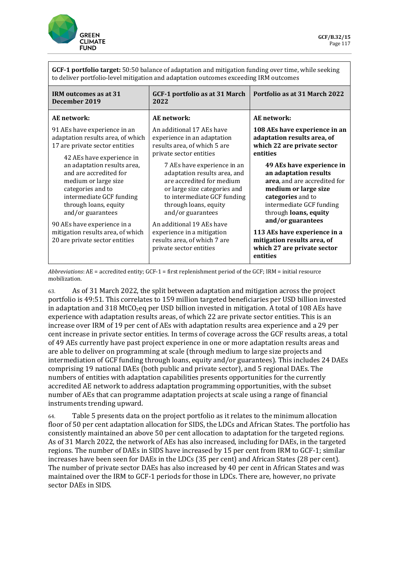![](_page_28_Picture_0.jpeg)

| <b>GCF-1 portfolio target:</b> 50:50 balance of adaptation and mitigation funding over time, while seeking |
|------------------------------------------------------------------------------------------------------------|
| to deliver portfolio-level mitigation and adaptation outcomes exceeding IRM outcomes                       |

| IRM outcomes as at 31<br>December 2019                                                                                                                                       | GCF-1 portfolio as at 31 March<br>2022                                                                                                                                                                | Portfolio as at 31 March 2022                                                                                                                                                        |
|------------------------------------------------------------------------------------------------------------------------------------------------------------------------------|-------------------------------------------------------------------------------------------------------------------------------------------------------------------------------------------------------|--------------------------------------------------------------------------------------------------------------------------------------------------------------------------------------|
| AE network:                                                                                                                                                                  | AE network:                                                                                                                                                                                           | AE network:                                                                                                                                                                          |
| 91 AEs have experience in an<br>adaptation results area, of which<br>17 are private sector entities<br>42 AEs have experience in                                             | An additional 17 AEs have<br>experience in an adaptation<br>results area, of which 5 are<br>private sector entities                                                                                   | 108 AEs have experience in an<br>adaptation results area, of<br>which 22 are private sector<br>entities                                                                              |
| an adaptation results area,<br>and are accredited for<br>medium or large size<br>categories and to<br>intermediate GCF funding<br>through loans, equity<br>and/or guarantees | 7 AEs have experience in an<br>adaptation results area, and<br>are accredited for medium<br>or large size categories and<br>to intermediate GCF funding<br>through loans, equity<br>and/or guarantees | 49 AEs have experience in<br>an adaptation results<br>area, and are accredited for<br>medium or large size<br>categories and to<br>intermediate GCF funding<br>through loans, equity |
| 90 AEs have experience in a<br>mitigation results area, of which<br>20 are private sector entities                                                                           | An additional 19 AEs have<br>experience in a mitigation<br>results area, of which 7 are<br>private sector entities                                                                                    | and/or guarantees<br>113 AEs have experience in a<br>mitigation results area, of<br>which 27 are private sector<br>entities                                                          |

*Abbreviations*: AE = accredited entity; GCF-1 = first replenishment period of the GCF; IRM = initial resource mobilization.

63. As of 31 March 2022, the split between adaptation and mitigation across the project portfolio is 49:51. This correlates to 159 million targeted beneficiaries per USD billion invested in adaptation and 318 MtCO<sub>2</sub>eq per USD billion invested in mitigation. A total of 108 AEs have experience with adaptation results areas, of which 22 are private sector entities. This is an increase over IRM of 19 per cent of AEs with adaptation results area experience and a 29 per cent increase in private sector entities. In terms of coverage across the GCF results areas, a total of 49 AEs currently have past project experience in one or more adaptation results areas and are able to deliver on programming at scale (through medium to large size projects and intermediation of GCF funding through loans, equity and/or guarantees). This includes 24 DAEs comprising 19 national DAEs (both public and private sector), and 5 regional DAEs. The numbers of entities with adaptation capabilities presents opportunities for the currently accredited AE network to address adaptation programming opportunities, with the subset number of AEs that can programme adaptation projects at scale using a range of financial instruments trending upward.

64. Table 5 presents data on the project portfolio as it relates to the minimum allocation floor of 50 per cent adaptation allocation for SIDS, the LDCs and African States. The portfolio has consistently maintained an above 50 per cent allocation to adaptation for the targeted regions. As of 31 March 2022, the network of AEs has also increased, including for DAEs, in the targeted regions. The number of DAEs in SIDS have increased by 15 per cent from IRM to GCF-1; similar increases have been seen for DAEs in the LDCs (35 per cent) and African States (28 per cent). The number of private sector DAEs has also increased by 40 per cent in African States and was maintained over the IRM to GCF-1 periods for those in LDCs. There are, however, no private sector DAEs in SIDS.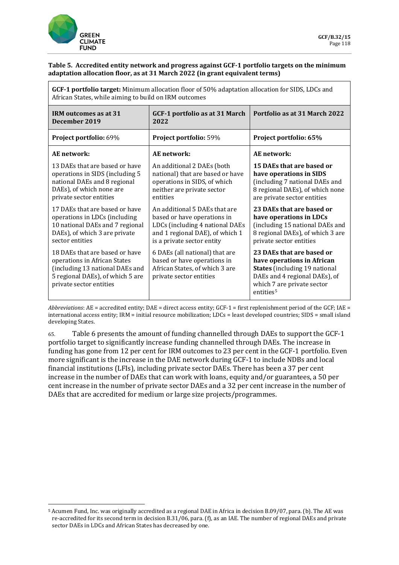![](_page_29_Picture_0.jpeg)

### **Table 5. Accredited entity network and progress against GCF-1 portfolio targets on the minimum adaptation allocation floor, as at 31 March 2022 (in grant equivalent terms)**

| GCF-1 portfolio target: Minimum allocation floor of 50% adaptation allocation for SIDS, LDCs and<br>African States, while aiming to build on IRM outcomes        |                                                                                                                                                                  |                                                                                                                                                                                         |  |  |
|------------------------------------------------------------------------------------------------------------------------------------------------------------------|------------------------------------------------------------------------------------------------------------------------------------------------------------------|-----------------------------------------------------------------------------------------------------------------------------------------------------------------------------------------|--|--|
| IRM outcomes as at 31<br>December 2019                                                                                                                           | GCF-1 portfolio as at 31 March<br>2022                                                                                                                           | Portfolio as at 31 March 2022                                                                                                                                                           |  |  |
| Project portfolio: 69%                                                                                                                                           | Project portfolio: 59%                                                                                                                                           | Project portfolio: 65%                                                                                                                                                                  |  |  |
| AE network:                                                                                                                                                      | AE network:                                                                                                                                                      | AE network:                                                                                                                                                                             |  |  |
| 13 DAEs that are based or have<br>operations in SIDS (including 5<br>national DAEs and 8 regional<br>DAEs), of which none are<br>private sector entities         | An additional 2 DAEs (both<br>national) that are based or have<br>operations in SIDS, of which<br>neither are private sector<br>entities                         | 15 DAEs that are based or<br>have operations in SIDS<br>(including 7 national DAEs and<br>8 regional DAEs), of which none<br>are private sector entities                                |  |  |
| 17 DAEs that are based or have<br>operations in LDCs (including<br>10 national DAEs and 7 regional<br>DAEs), of which 3 are private<br>sector entities           | An additional 5 DAEs that are<br>based or have operations in<br>LDCs (including 4 national DAEs<br>and 1 regional DAE), of which 1<br>is a private sector entity | 23 DAEs that are based or<br>have operations in LDCs<br>(including 15 national DAEs and<br>8 regional DAEs), of which 3 are<br>private sector entities                                  |  |  |
| 18 DAEs that are based or have<br>operations in African States<br>(including 13 national DAEs and<br>5 regional DAEs), of which 5 are<br>private sector entities | 6 DAEs (all national) that are<br>based or have operations in<br>African States, of which 3 are<br>private sector entities                                       | 23 DAEs that are based or<br>have operations in African<br><b>States</b> (including 19 national<br>DAEs and 4 regional DAEs), of<br>which 7 are private sector<br>entities <sup>5</sup> |  |  |

*Abbreviations*: AE = accredited entity; DAE = direct access entity; GCF-1 = first replenishment period of the GCF; IAE = international access entity; IRM = initial resource mobilization; LDCs = least developed countries; SIDS = small island developing States.

65. Table 6 presents the amount of funding channelled through DAEs to support the GCF-1 portfolio target to significantly increase funding channelled through DAEs*.* The increase in funding has gone from 12 per cent for IRM outcomes to 23 per cent in the GCF-1 portfolio. Even more significant is the increase in the DAE network during GCF-1 to include NDBs and local financial institutions (LFIs), including private sector DAEs. There has been a 37 per cent increase in the number of DAEs that can work with loans, equity and/or guarantees, a 50 per cent increase in the number of private sector DAEs and a 32 per cent increase in the number of DAEs that are accredited for medium or large size projects/programmes.

<span id="page-29-0"></span><sup>5</sup> Acumen Fund, Inc. was originally accredited as a regional DAE in Africa in decision B.09/07, para. (b). The AE was re-accredited for its second term in decision B.31/06, para. (f), as an IAE. The number of regional DAEs and private sector DAEs in LDCs and African States has decreased by one.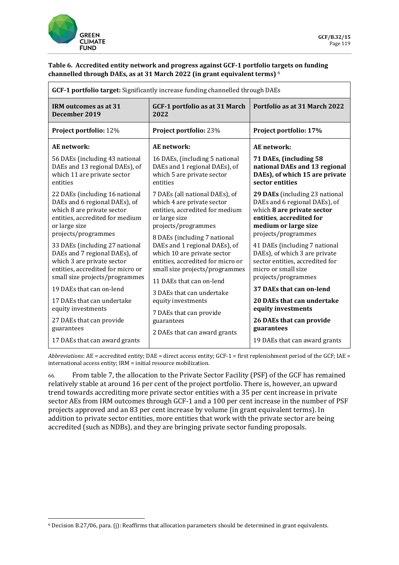![](_page_30_Picture_0.jpeg)

### **Table 6. Accredited entity network and progress against GCF-1 portfolio targets on funding channelled through DAEs, as at 31 March 2022 (in grant equivalent terms)** [6](#page-30-0)

| <b>GCF-1 portfolio target:</b> Significantly increase funding channelled through DAEs                                                                                                                                                                                                                          |                                                                                                                                                                                                                                                                                                                |                                                                                                                                                                                                                                                                                                      |  |
|----------------------------------------------------------------------------------------------------------------------------------------------------------------------------------------------------------------------------------------------------------------------------------------------------------------|----------------------------------------------------------------------------------------------------------------------------------------------------------------------------------------------------------------------------------------------------------------------------------------------------------------|------------------------------------------------------------------------------------------------------------------------------------------------------------------------------------------------------------------------------------------------------------------------------------------------------|--|
| IRM outcomes as at 31<br>December 2019                                                                                                                                                                                                                                                                         | GCF-1 portfolio as at 31 March<br>2022                                                                                                                                                                                                                                                                         | Portfolio as at 31 March 2022                                                                                                                                                                                                                                                                        |  |
| Project portfolio: 12%                                                                                                                                                                                                                                                                                         | Project portfolio: 23%                                                                                                                                                                                                                                                                                         | Project portfolio: 17%                                                                                                                                                                                                                                                                               |  |
| <b>AE</b> network:                                                                                                                                                                                                                                                                                             | AE network:                                                                                                                                                                                                                                                                                                    | AE network:                                                                                                                                                                                                                                                                                          |  |
| 56 DAEs (including 43 national<br>DAEs and 13 regional DAEs), of<br>which 11 are private sector<br>entities                                                                                                                                                                                                    | 16 DAEs, (including 5 national<br>DAEs and 1 regional DAEs), of<br>which 5 are private sector<br>entities                                                                                                                                                                                                      | 71 DAEs, (including 58<br>national DAEs and 13 regional<br>DAEs), of which 15 are private<br>sector entities                                                                                                                                                                                         |  |
| 22 DAEs (including 16 national<br>DAEs and 6 regional DAEs), of<br>which 8 are private sector<br>entities, accredited for medium<br>or large size<br>projects/programmes<br>33 DAEs (including 27 national<br>DAEs and 7 regional DAEs), of<br>which 3 are private sector<br>entities, accredited for micro or | 7 DAEs (all national DAEs), of<br>which 4 are private sector<br>entities, accredited for medium<br>or large size<br>projects/programmes<br>8 DAEs (including 7 national<br>DAEs and 1 regional DAEs), of<br>which 10 are private sector<br>entities, accredited for micro or<br>small size projects/programmes | 29 DAEs (including 23 national<br>DAEs and 6 regional DAEs), of<br>which 8 are private sector<br>entities, accredited for<br>medium or large size<br>projects/programmes<br>41 DAEs (including 7 national<br>DAEs), of which 3 are private<br>sector entities, accredited for<br>micro or small size |  |
| small size projects/programmes                                                                                                                                                                                                                                                                                 | 11 DAEs that can on-lend                                                                                                                                                                                                                                                                                       | projects/programmes                                                                                                                                                                                                                                                                                  |  |
| 19 DAEs that can on-lend                                                                                                                                                                                                                                                                                       | 3 DAEs that can undertake                                                                                                                                                                                                                                                                                      | 37 DAEs that can on-lend                                                                                                                                                                                                                                                                             |  |
| 17 DAEs that can undertake<br>equity investments                                                                                                                                                                                                                                                               | equity investments<br>7 DAEs that can provide                                                                                                                                                                                                                                                                  | 20 DAEs that can undertake<br>equity investments                                                                                                                                                                                                                                                     |  |
| 27 DAEs that can provide<br>guarantees                                                                                                                                                                                                                                                                         | guarantees                                                                                                                                                                                                                                                                                                     | 26 DAEs that can provide<br>guarantees                                                                                                                                                                                                                                                               |  |
| 17 DAEs that can award grants                                                                                                                                                                                                                                                                                  | 2 DAEs that can award grants                                                                                                                                                                                                                                                                                   | 19 DAEs that can award grants                                                                                                                                                                                                                                                                        |  |

*Abbreviations*: AE = accredited entity; DAE = direct access entity; GCF-1 = first replenishment period of the GCF; IAE = international access entity; IRM = initial resource mobilization.

66. From table 7, the allocation to the Private Sector Facility (PSF) of the GCF has remained relatively stable at around 16 per cent of the project portfolio. There is, however, an upward trend towards accrediting more private sector entities with a 35 per cent increase in private sector AEs from IRM outcomes through GCF-1 and a 100 per cent increase in the number of PSF projects approved and an 83 per cent increase by volume (in grant equivalent terms). In addition to private sector entities, more entities that work with the private sector are being accredited (such as NDBs), and they are bringing private sector funding proposals.

<span id="page-30-0"></span><sup>6</sup> Decision B.27/06, para. (j): Reaffirms that allocation parameters should be determined in grant equivalents.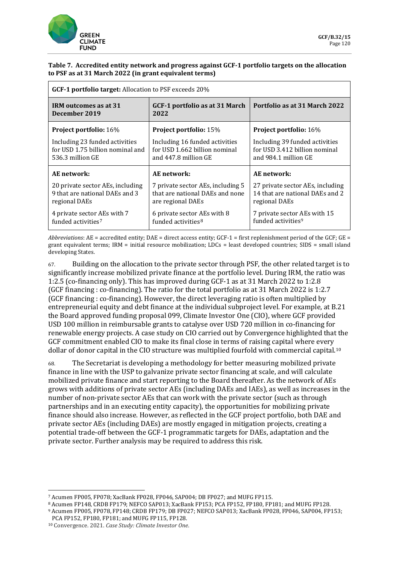![](_page_31_Picture_0.jpeg)

### **Table 7. Accredited entity network and progress against GCF-1 portfolio targets on the allocation to PSF as at 31 March 2022 (in grant equivalent terms)**

| GCF-1 portfolio target: Allocation to PSF exceeds 20%                                  |                                                                                           |                                                                                         |  |
|----------------------------------------------------------------------------------------|-------------------------------------------------------------------------------------------|-----------------------------------------------------------------------------------------|--|
| <b>IRM</b> outcomes as at 31<br>December 2019                                          | GCF-1 portfolio as at 31 March<br>2022                                                    | Portfolio as at 31 March 2022                                                           |  |
| <b>Project portfolio:</b> 16%                                                          | <b>Project portfolio:</b> 15%                                                             | <b>Project portfolio:</b> 16%                                                           |  |
| Including 23 funded activities<br>for USD 1.75 billion nominal and<br>536.3 million GE | Including 16 funded activities<br>for USD 1.662 billion nominal<br>and 447.8 million GE   | Including 39 funded activities<br>for USD 3.412 billion nominal<br>and 984.1 million GE |  |
| AE network:                                                                            | AE network:                                                                               | AE network:                                                                             |  |
| 20 private sector AEs, including<br>9 that are national DAEs and 3<br>regional DAEs    | 7 private sector AEs, including 5<br>that are national DAEs and none<br>are regional DAEs | 27 private sector AEs, including<br>14 that are national DAEs and 2<br>regional DAEs    |  |
| 4 private sector AEs with 7<br>funded activities <sup>7</sup>                          | 6 private sector AEs with 8<br>funded activities <sup>8</sup>                             | 7 private sector AEs with 15<br>funded activities <sup>9</sup>                          |  |

*Abbreviations*: AE = accredited entity; DAE = direct access entity; GCF-1 = first replenishment period of the GCF; GE = grant equivalent terms; IRM = initial resource mobilization; LDCs = least developed countries; SIDS = small island developing States.

67. Building on the allocation to the private sector through PSF, the other related target is to significantly increase mobilized private finance at the portfolio level. During IRM, the ratio was 1:2.5 (co-financing only). This has improved during GCF-1 as at 31 March 2022 to 1:2.8 (GCF financing : co-financing). The ratio for the total portfolio as at 31 March 2022 is 1:2.7 (GCF financing : co-financing). However, the direct leveraging ratio is often multiplied by entrepreneurial equity and debt finance at the individual subproject level. For example, at B.21 the Board approved funding proposal 099, Climate Investor One (CIO), where GCF provided USD 100 million in reimbursable grants to catalyse over USD 720 million in co-financing for renewable energy projects. A [case study](https://www.convergence.finance/resource/c98944c2-2391-43e2-bf3d-80611b0b4d4c/view) on CIO carried out by Convergence highlighted that the GCF commitment enabled CIO to make its final close in terms of raising capital where every dollar of donor capital in the CIO structure was multiplied fourfold with commercial capital.[10](#page-31-3)

68. The Secretariat is developing a methodology for better measuring mobilized private finance in line with the USP to galvanize private sector financing at scale, and will calculate mobilized private finance and start reporting to the Board thereafter. As the network of AEs grows with additions of private sector AEs (including DAEs and IAEs), as well as increases in the number of non-private sector AEs that can work with the private sector (such as through partnerships and in an executing entity capacity), the opportunities for mobilizing private finance should also increase. However, as reflected in the GCF project portfolio, both DAE and private sector AEs (including DAEs) are mostly engaged in mitigation projects, creating a potential trade-off between the GCF-1 programmatic targets for DAEs, adaptation and the private sector. Further analysis may be required to address this risk.

<sup>7</sup> Acumen FP005, FP078; XacBank FP028, FP046, SAP004; DB FP027; and MUFG FP115.

<span id="page-31-2"></span><span id="page-31-1"></span><span id="page-31-0"></span><sup>8</sup> Acumen FP148, CRDB FP179; NEFCO SAP013; XacBank FP153; PCA FP152, FP180, FP181; and MUFG FP128.

<sup>9</sup> Acumen FP005, FP078, FP148; CRDB FP179; DB FP027; NEFCO SAP013; XacBank FP028, FP046, SAP004, FP153; PCA FP152, FP180, FP181; and MUFG FP115, FP128.

<span id="page-31-3"></span><sup>10</sup> Convergence. 2021. *Case Study: Climate Investor One*.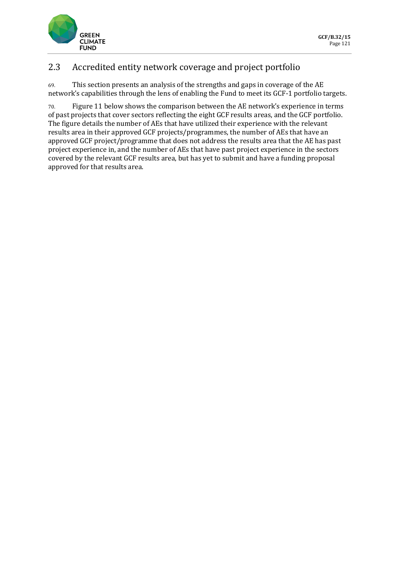![](_page_32_Picture_0.jpeg)

## 2.3 Accredited entity network coverage and project portfolio

69. This section presents an analysis of the strengths and gaps in coverage of the AE network's capabilities through the lens of enabling the Fund to meet its GCF-1 portfolio targets.

70. Figure 11 below shows the comparison between the AE network's experience in terms of past projects that cover sectors reflecting the eight GCF results areas, and the GCF portfolio. The figure details the number of AEs that have utilized their experience with the relevant results area in their approved GCF projects/programmes, the number of AEs that have an approved GCF project/programme that does not address the results area that the AE has past project experience in, and the number of AEs that have past project experience in the sectors covered by the relevant GCF results area, but has yet to submit and have a funding proposal approved for that results area.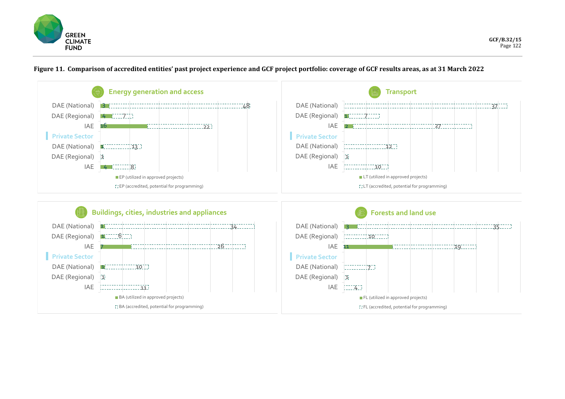![](_page_33_Picture_0.jpeg)

![](_page_33_Figure_2.jpeg)

**Figure 11. Comparison of accredited entities' past project experience and GCF project portfolio: coverage of GCF results areas, as at 31 March 2022**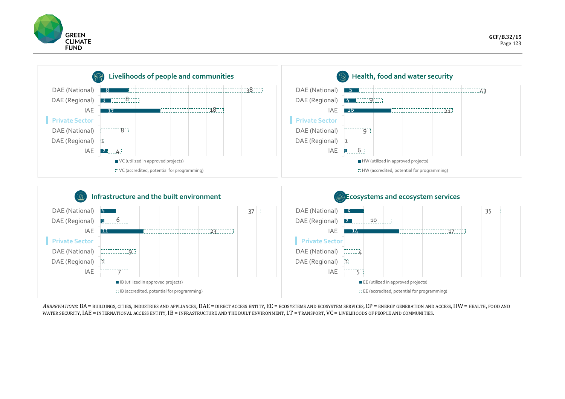![](_page_34_Picture_0.jpeg)

![](_page_34_Figure_2.jpeg)

*ABBREVIATIONS*: BA = BUILDINGS, CITIES, INDUSTRIES AND APPLIANCES, DAE = DIRECT ACCESS ENTITY, EE = ECOSYSTEMS AND ECOSYSTEM SERVICES, EP = ENERGY GENERATION AND ACCESS,HW = HEALTH, FOOD AND WATER SECURITY, IAE = INTERNATIONAL ACCESS ENTITY, IB = INFRASTRUCTURE AND THE BUILT ENVIRONMENT, LT = TRANSPORT, VC = LIVELIHOODS OF PEOPLE AND COMMUNITIES.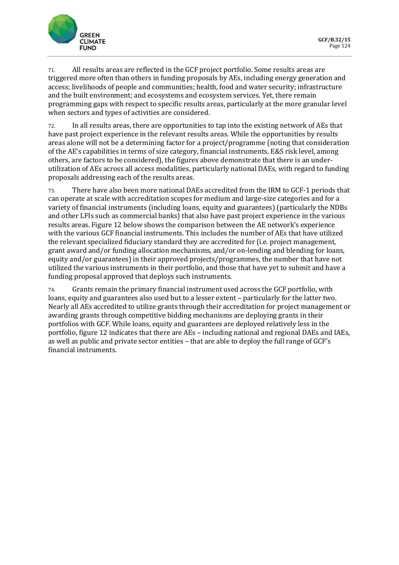![](_page_35_Picture_0.jpeg)

71. All results areas are reflected in the GCF project portfolio. Some results areas are triggered more often than others in funding proposals by AEs, including energy generation and access; livelihoods of people and communities; health, food and water security; infrastructure and the built environment; and ecosystems and ecosystem services. Yet, there remain programming gaps with respect to specific results areas, particularly at the more granular level when sectors and types of activities are considered.

72. In all results areas, there are opportunities to tap into the existing network of AEs that have past project experience in the relevant results areas. While the opportunities by results areas alone will not be a determining factor for a project/programme (noting that consideration of the AE's capabilities in terms of size category, financial instruments, E&S risk level, among others, are factors to be considered), the figures above demonstrate that there is an underutilization of AEs across all access modalities, particularly national DAEs, with regard to funding proposals addressing each of the results areas.

73. There have also been more national DAEs accredited from the IRM to GCF-1 periods that can operate at scale with accreditation scopes for medium and large-size categories and for a variety of financial instruments (including loans, equity and guarantees) (particularly the NDBs and other LFIs such as commercial banks) that also have past project experience in the various results areas. Figure 12 below shows the comparison between the AE network's experience with the various GCF financial instruments. This includes the number of AEs that have utilized the relevant specialized fiduciary standard they are accredited for (i.e. project management, grant award and/or funding allocation mechanisms, and/or on-lending and blending for loans, equity and/or guarantees) in their approved projects/programmes, the number that have not utilized the various instruments in their portfolio, and those that have yet to submit and have a funding proposal approved that deploys such instruments.

74. Grants remain the primary financial instrument used across the GCF portfolio, with loans, equity and guarantees also used but to a lesser extent – particularly for the latter two. Nearly all AEs accredited to utilize grants through their accreditation for project management or awarding grants through competitive bidding mechanisms are deploying grants in their portfolios with GCF. While loans, equity and guarantees are deployed relatively less in the portfolio, figure 12 indicates that there are AEs – including national and regional DAEs and IAEs, as well as public and private sector entities – that are able to deploy the full range of GCF's financial instruments.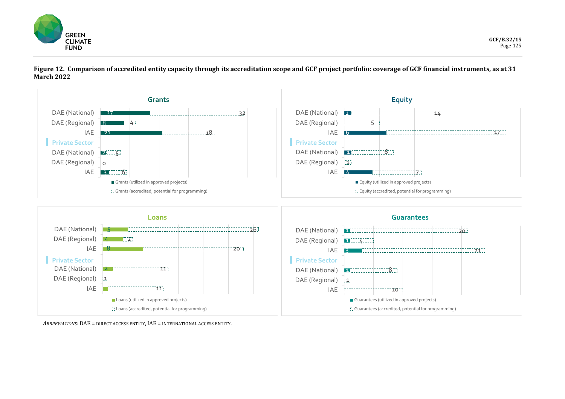![](_page_36_Picture_0.jpeg)

![](_page_36_Figure_2.jpeg)

**Figure 12. Comparison of accredited entity capacity through its accreditation scope and GCF project portfolio: coverage of GCF financial instruments, as at 31 March 2022**

*ABBREVIATIONS*: DAE = DIRECT ACCESS ENTITY, IAE = INTERNATIONAL ACCESS ENTITY.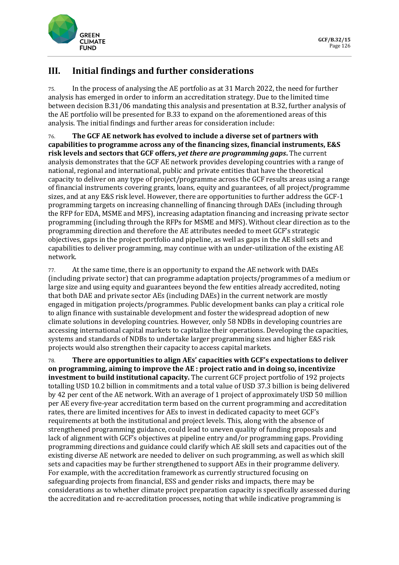![](_page_37_Picture_0.jpeg)

# **III. Initial findings and further considerations**

75. In the process of analysing the AE portfolio as at 31 March 2022, the need for further analysis has emerged in order to inform an accreditation strategy. Due to the limited time between decision B.31/06 mandating this analysis and presentation at B.32, further analysis of the AE portfolio will be presented for B.33 to expand on the aforementioned areas of this analysis. The initial findings and further areas for consideration include:

76. **The GCF AE network has evolved to include a diverse set of partners with capabilities to programme across any of the financing sizes, financial instruments, E&S risk levels and sectors that GCF offers,** *yet there are programming gaps***.** The current analysis demonstrates that the GCF AE network provides developing countries with a range of national, regional and international, public and private entities that have the theoretical capacity to deliver on any type of project/programme across the GCF results areas using a range of financial instruments covering grants, loans, equity and guarantees, of all project/programme sizes, and at any E&S risk level. However, there are opportunities to further address the GCF-1 programming targets on increasing channelling of financing through DAEs (including through the RFP for EDA, MSME and MFS), increasing adaptation financing and increasing private sector programming (including through the RFPs for MSME and MFS). Without clear direction as to the programming direction and therefore the AE attributes needed to meet GCF's strategic objectives, gaps in the project portfolio and pipeline, as well as gaps in the AE skill sets and capabilities to deliver programming, may continue with an under-utilization of the existing AE network.

77. At the same time, there is an opportunity to expand the AE network with DAEs (including private sector) that can programme adaptation projects/programmes of a medium or large size and using equity and guarantees beyond the few entities already accredited, noting that both DAE and private sector AEs (including DAEs) in the current network are mostly engaged in mitigation projects/programmes. Public development banks can play a critical role to align finance with sustainable development and foster the widespread adoption of new climate solutions in developing countries. However, only 58 NDBs in developing countries are accessing international capital markets to capitalize their operations. Developing the capacities, systems and standards of NDBs to undertake larger programming sizes and higher E&S risk projects would also strengthen their capacity to access capital markets.

78. **There are opportunities to align AEs' capacities with GCF's expectations to deliver on programming, aiming to improve the AE : project ratio and in doing so, incentivize investment to build institutional capacity.** The current GCF project portfolio of 192 projects totalling USD 10.2 billion in commitments and a total value of USD 37.3 billion is being delivered by 42 per cent of the AE network. With an average of 1 project of approximately USD 50 million per AE every five-year accreditation term based on the current programming and accreditation rates, there are limited incentives for AEs to invest in dedicated capacity to meet GCF's requirements at both the institutional and project levels. This, along with the absence of strengthened programming guidance, could lead to uneven quality of funding proposals and lack of alignment with GCF's objectives at pipeline entry and/or programming gaps. Providing programming directions and guidance could clarify which AE skill sets and capacities out of the existing diverse AE network are needed to deliver on such programming, as well as which skill sets and capacities may be further strengthened to support AEs in their programme delivery. For example, with the accreditation framework as currently structured focusing on safeguarding projects from financial, ESS and gender risks and impacts, there may be considerations as to whether climate project preparation capacity is specifically assessed during the accreditation and re-accreditation processes, noting that while indicative programming is